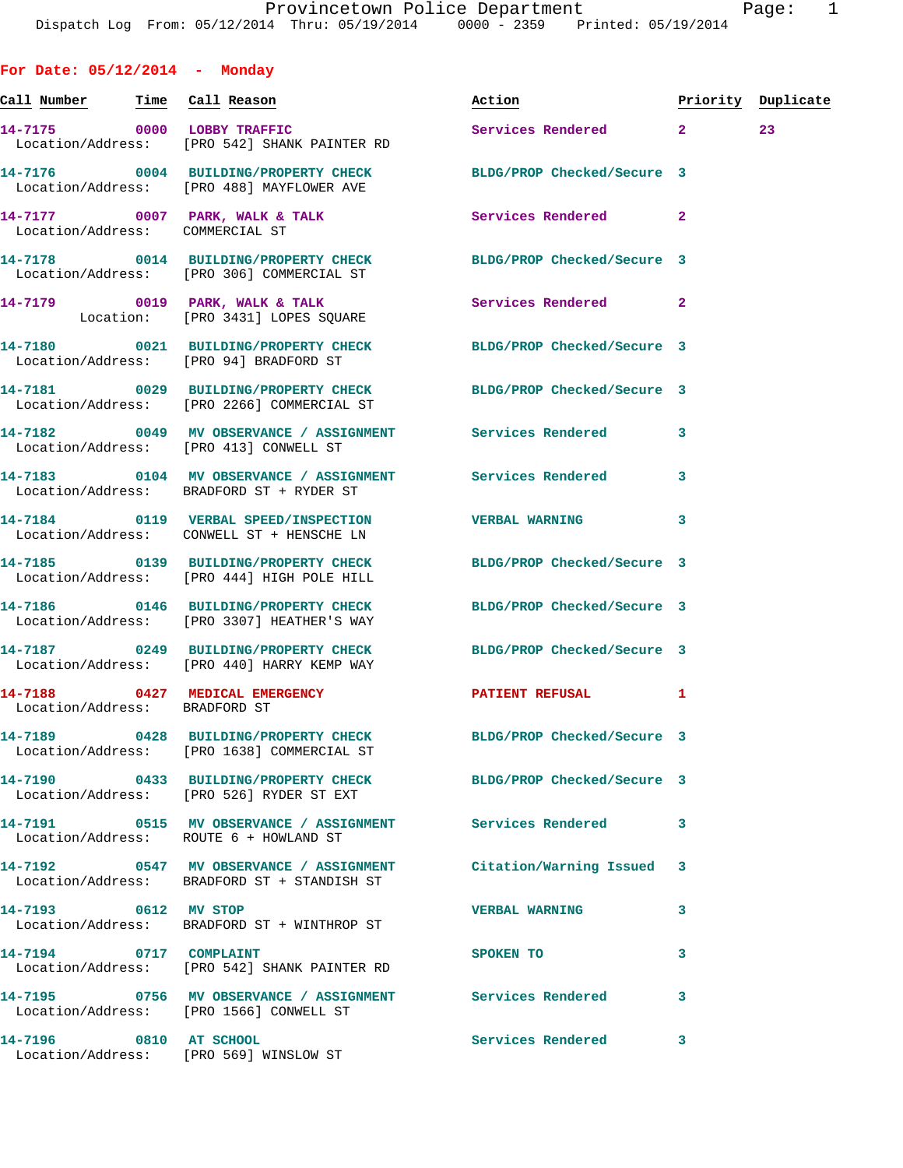|                                       | Dispatch Log From: 05/12/2014 Thru: 05/19/2014 0000 - 2359 Printed: 05/19/2014                                     |                                  |              |        |
|---------------------------------------|--------------------------------------------------------------------------------------------------------------------|----------------------------------|--------------|--------|
| For Date: $05/12/2014$ - Monday       |                                                                                                                    |                                  |              |        |
| <u>Call Number — Time Call</u> Reason |                                                                                                                    | Action <b>Priority</b> Duplicate |              |        |
|                                       | 14-7175 0000 LOBBY TRAFFIC<br>Location/Address: [PRO 542] SHANK PAINTER RD                                         | Services Rendered 2              |              | $23 -$ |
|                                       | 14-7176 0004 BUILDING/PROPERTY CHECK<br>Location/Address: [PRO 488] MAYFLOWER AVE                                  | BLDG/PROP Checked/Secure 3       |              |        |
| Location/Address: COMMERCIAL ST       | 14-7177 0007 PARK, WALK & TALK 30 Services Rendered                                                                |                                  | $\mathbf{2}$ |        |
|                                       | 14-7178 0014 BUILDING/PROPERTY CHECK BLDG/PROP Checked/Secure 3<br>Location/Address: [PRO 306] COMMERCIAL ST       |                                  |              |        |
|                                       | 14-7179 0019 PARK, WALK & TALK Services Rendered 2<br>Location: [PRO 3431] LOPES SQUARE                            |                                  |              |        |
|                                       | 14-7180 0021 BUILDING/PROPERTY CHECK BLDG/PROP Checked/Secure 3<br>Location/Address: [PRO 94] BRADFORD ST          |                                  |              |        |
|                                       | 14-7181 0029 BUILDING/PROPERTY CHECK BLDG/PROP Checked/Secure 3<br>Location/Address: [PRO 2266] COMMERCIAL ST      |                                  |              |        |
|                                       | 14-7182 0049 MV OBSERVANCE / ASSIGNMENT Services Rendered 3<br>Location/Address: [PRO 413] CONWELL ST              |                                  |              |        |
|                                       | 14-7183 0104 MV OBSERVANCE / ASSIGNMENT Services Rendered 3<br>Location/Address: BRADFORD ST + RYDER ST            |                                  |              |        |
|                                       | 14-7184 0119 VERBAL SPEED/INSPECTION VERBAL WARNING<br>Location/Address: CONWELL ST + HENSCHE LN                   |                                  | 3            |        |
|                                       | 14-7185 0139 BUILDING/PROPERTY CHECK BLDG/PROP Checked/Secure 3<br>Location/Address: [PRO 444] HIGH POLE HILL      |                                  |              |        |
|                                       | 14-7186  0146 BUILDING/PROPERTY CHECK BLDG/PROP Checked/Secure 3<br>Location/Address: [PRO 3307] HEATHER'S WAY     |                                  |              |        |
|                                       | Location/Address: [PRO 440] HARRY KEMP WAY                                                                         |                                  |              |        |
| Location/Address: BRADFORD ST         | 14-7188 0427 MEDICAL EMERGENCY                                                                                     | <b>PATIENT REFUSAL</b>           | 1            |        |
|                                       | 14-7189 		 0428 BUILDING/PROPERTY CHECK 		BLDG/PROP Checked/Secure 3<br>Location/Address: [PRO 1638] COMMERCIAL ST |                                  |              |        |
|                                       | 14-7190 0433 BUILDING/PROPERTY CHECK BLDG/PROP Checked/Secure 3<br>Location/Address: [PRO 526] RYDER ST EXT        |                                  |              |        |
|                                       | 14-7191 6515 MV OBSERVANCE / ASSIGNMENT Services Rendered<br>Location/Address: ROUTE 6 + HOWLAND ST                |                                  | 3            |        |
|                                       | 14-7192 0547 MV OBSERVANCE / ASSIGNMENT Citation/Warning Issued 3<br>Location/Address: BRADFORD ST + STANDISH ST   |                                  |              |        |
| 14-7193 0612 MV STOP                  | Location/Address: BRADFORD ST + WINTHROP ST                                                                        | <b>VERBAL WARNING</b>            | 3            |        |
| 14-7194 0717 COMPLAINT                | Location/Address: [PRO 542] SHANK PAINTER RD                                                                       | SPOKEN TO                        | 3            |        |
|                                       | 14-7195                 0756    MV OBSERVANCE  / ASSIGNMENT              Services Rendered              3          |                                  |              |        |

**14-7196 0810 AT SCHOOL Services Rendered 3**  Location/Address: [PRO 569] WINSLOW ST

Location/Address: [PRO 1566] CONWELL ST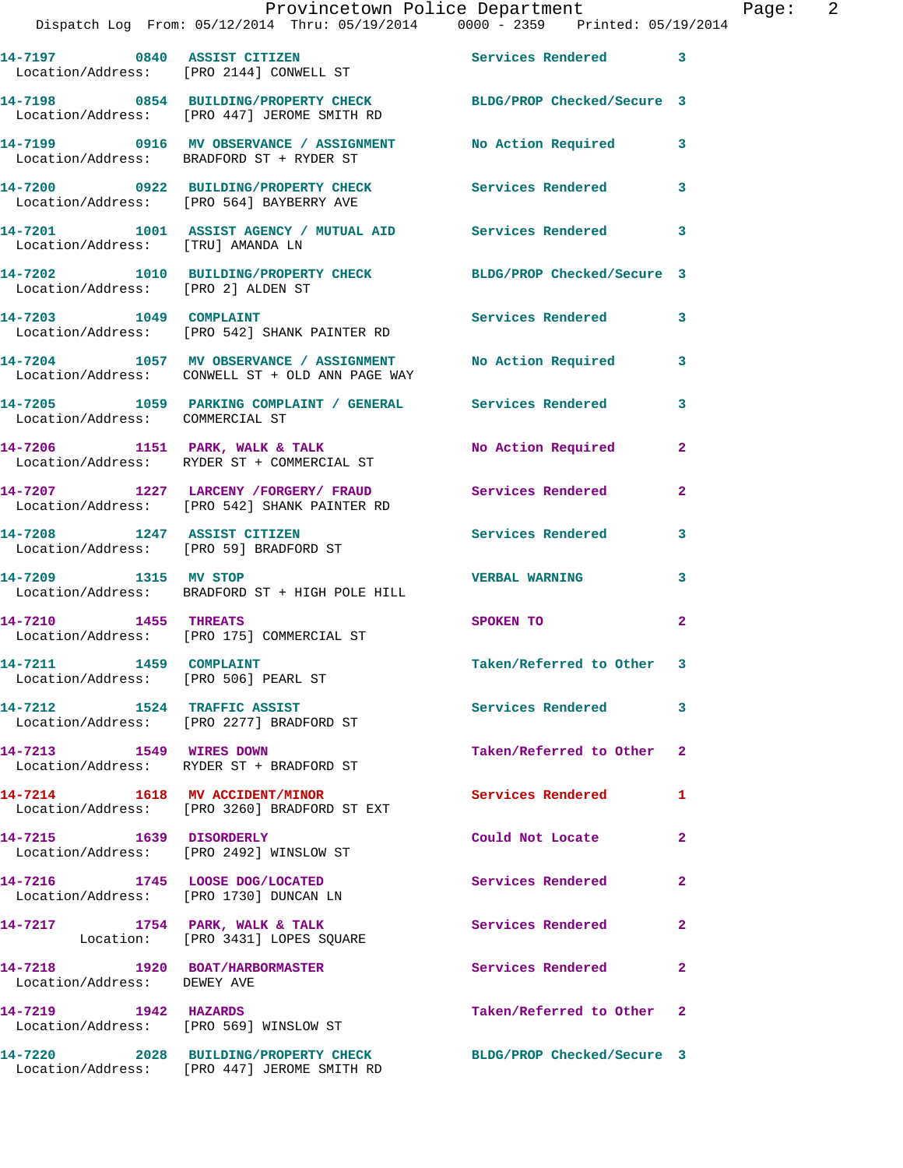|                                                 | Provincetown Police Department<br>Dispatch Log From: 05/12/2014 Thru: 05/19/2014 0000 - 2359 Printed: 05/19/2014 |                           |              |
|-------------------------------------------------|------------------------------------------------------------------------------------------------------------------|---------------------------|--------------|
|                                                 | 14-7197 0840 ASSIST CITIZEN<br>Location/Address: [PRO 2144] CONWELL ST                                           | Services Rendered         | 3            |
|                                                 | 14-7198 0854 BUILDING/PROPERTY CHECK BLDG/PROP Checked/Secure 3<br>Location/Address: [PRO 447] JEROME SMITH RD   |                           |              |
|                                                 |                                                                                                                  |                           | 3            |
|                                                 | 14-7200 0922 BUILDING/PROPERTY CHECK Services Rendered<br>Location/Address: [PRO 564] BAYBERRY AVE               |                           | 3            |
| Location/Address: [TRU] AMANDA LN               | 14-7201 1001 ASSIST AGENCY / MUTUAL AID Services Rendered                                                        |                           | 3            |
| Location/Address: [PRO 2] ALDEN ST              | 14-7202 1010 BUILDING/PROPERTY CHECK BLDG/PROP Checked/Secure 3                                                  |                           |              |
| 14-7203 1049 COMPLAINT                          | Location/Address: [PRO 542] SHANK PAINTER RD                                                                     | Services Rendered         | 3            |
|                                                 | 14-7204 1057 MV OBSERVANCE / ASSIGNMENT<br>Location/Address: CONWELL ST + OLD ANN PAGE WAY                       | <b>No Action Required</b> | 3            |
| Location/Address: COMMERCIAL ST                 | 14-7205 1059 PARKING COMPLAINT / GENERAL Services Rendered                                                       |                           | 3            |
|                                                 | 14-7206 1151 PARK, WALK & TALK<br>Location/Address: RYDER ST + COMMERCIAL ST                                     | No Action Required        | 2            |
|                                                 | 14-7207 1227 LARCENY /FORGERY/ FRAUD Services Rendered<br>Location/Address: [PRO 542] SHANK PAINTER RD           |                           | 2            |
|                                                 | 14-7208 1247 ASSIST CITIZEN<br>Location/Address: [PRO 59] BRADFORD ST                                            | Services Rendered         | 3            |
| 14-7209 1315 MV STOP                            | Location/Address: BRADFORD ST + HIGH POLE HILL                                                                   | <b>VERBAL WARNING</b>     | 3            |
| 14-7210 1455 THREATS                            | Location/Address: [PRO 175] COMMERCIAL ST                                                                        | SPOKEN TO                 | $\mathbf{2}$ |
| 14-7211<br>Location/Address: [PRO 506] PEARL ST | <b>1459 COMPLAINT</b>                                                                                            | Taken/Referred to Other   | 3            |
| 14-7212 1524 TRAFFIC ASSIST                     | Location/Address: [PRO 2277] BRADFORD ST                                                                         | <b>Services Rendered</b>  | 3.           |
| 14-7213 1549 WIRES DOWN                         | Location/Address: RYDER ST + BRADFORD ST                                                                         | Taken/Referred to Other   | 2            |
| 14-7214 1618 MV ACCIDENT/MINOR                  | Location/Address: [PRO 3260] BRADFORD ST EXT                                                                     | <b>Services Rendered</b>  | 1            |
| 14-7215<br>1639 DISORDERLY                      |                                                                                                                  | Could Not Locate          | $\mathbf{2}$ |

 Location/Address: [PRO 2492] WINSLOW ST **14-7216 1745 LOOSE DOG/LOCATED Services Rendered 2**  Location/Address: [PRO 1730] DUNCAN LN **14-7217 1754 PARK, WALK & TALK Services Rendered 2**  Location: [PRO 3431] LOPES SQUARE **14-7218 1920 BOAT/HARBORMASTER Services Rendered 2**  Location/Address: DEWEY AVE **14-7219 1942 HAZARDS Taken/Referred to Other 2** 

 Location/Address: [PRO 569] WINSLOW ST **14-7220 2028 BUILDING/PROPERTY CHECK BLDG/PROP Checked/Secure 3** 

Location/Address: [PRO 447] JEROME SMITH RD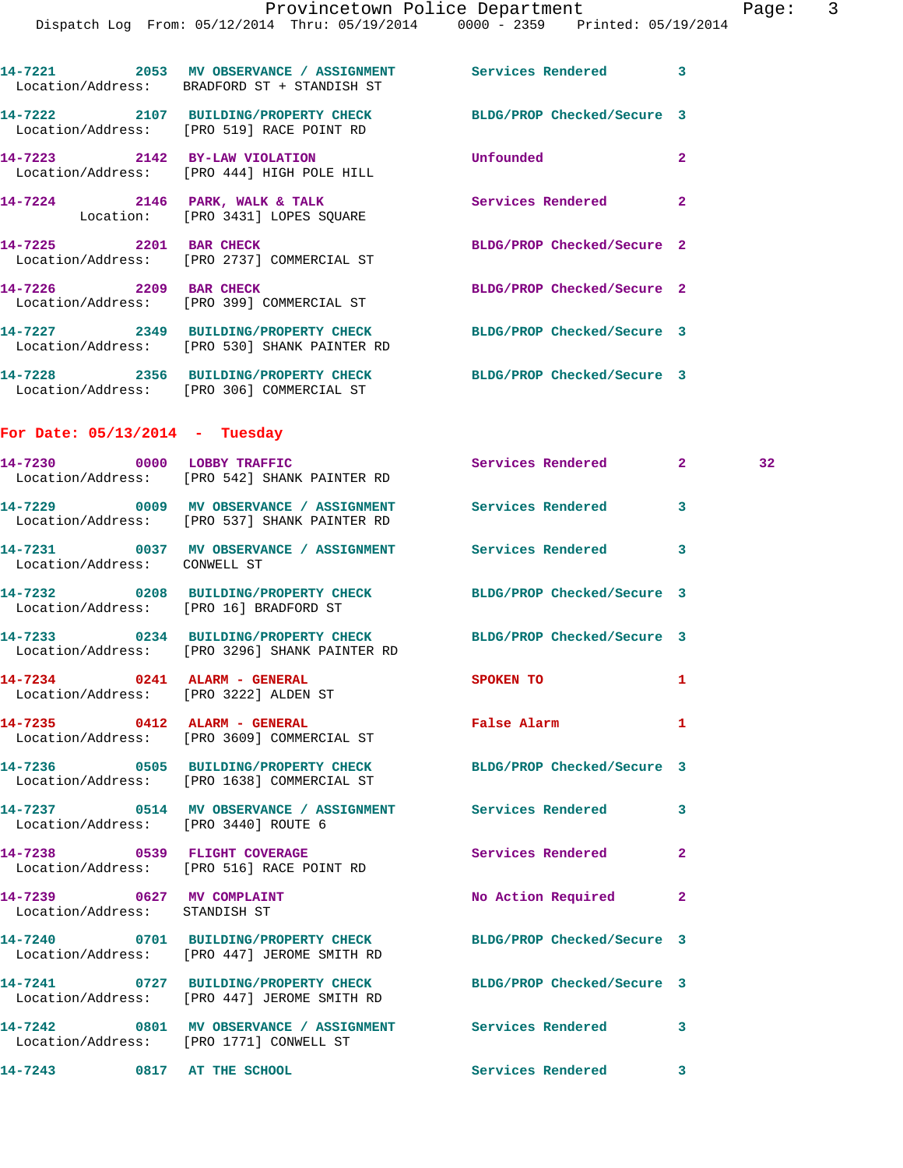Provincetown Police Department Page: 3 Dispatch Log From: 05/12/2014 Thru: 05/19/2014 0000 - 2359 Printed: 05/19/2014 **14-7221 2053 MV OBSERVANCE / ASSIGNMENT Services Rendered 3**  Location/Address: BRADFORD ST + STANDISH ST **14-7222 2107 BUILDING/PROPERTY CHECK BLDG/PROP Checked/Secure 3**  Location/Address: [PRO 519] RACE POINT RD **14-7223 2142 BY-LAW VIOLATION Unfounded 2**  Location/Address: [PRO 444] HIGH POLE HILL **14-7224 2146 PARK, WALK & TALK Services Rendered 2**  Location: [PRO 3431] LOPES SQUARE **14-7225 2201 BAR CHECK BLDG/PROP Checked/Secure 2**  Location/Address: [PRO 2737] COMMERCIAL ST **14-7226 2209 BAR CHECK BLDG/PROP Checked/Secure 2**  Location/Address: [PRO 399] COMMERCIAL ST **14-7227 2349 BUILDING/PROPERTY CHECK BLDG/PROP Checked/Secure 3**  Location/Address: [PRO 530] SHANK PAINTER RD **14-7228 2356 BUILDING/PROPERTY CHECK BLDG/PROP Checked/Secure 3**  Location/Address: [PRO 306] COMMERCIAL ST **For Date: 05/13/2014 - Tuesday 14-7230 0000 LOBBY TRAFFIC Services Rendered 2 32**  Location/Address: [PRO 542] SHANK PAINTER RD **14-7229 0009 MV OBSERVANCE / ASSIGNMENT Services Rendered 3**  Location/Address: [PRO 537] SHANK PAINTER RD **14-7231 0037 MV OBSERVANCE / ASSIGNMENT Services Rendered 3**  Location/Address: CONWELL ST **14-7232 0208 BUILDING/PROPERTY CHECK BLDG/PROP Checked/Secure 3**  Location/Address: [PRO 16] BRADFORD ST **14-7233 0234 BUILDING/PROPERTY CHECK BLDG/PROP Checked/Secure 3**  Location/Address: [PRO 3296] SHANK PAINTER RD **14-7234 0241 ALARM - GENERAL SPOKEN TO 1**  Location/Address: [PRO 3222] ALDEN ST **14-7235 0412 ALARM - GENERAL False Alarm 1**  Location/Address: [PRO 3609] COMMERCIAL ST **14-7236 0505 BUILDING/PROPERTY CHECK BLDG/PROP Checked/Secure 3**  Location/Address: [PRO 1638] COMMERCIAL ST **14-7237 0514 MV OBSERVANCE / ASSIGNMENT Services Rendered 3**  Location/Address: [PRO 3440] ROUTE 6 **14-7238 0539 FLIGHT COVERAGE Services Rendered 2** 

 Location/Address: [PRO 516] RACE POINT RD **14-7239 0627 MV COMPLAINT No Action Required 2**  Location/Address: STANDISH ST **14-7240 0701 BUILDING/PROPERTY CHECK BLDG/PROP Checked/Secure 3**  Location/Address: [PRO 447] JEROME SMITH RD **14-7241 0727 BUILDING/PROPERTY CHECK BLDG/PROP Checked/Secure 3**  Location/Address: [PRO 447] JEROME SMITH RD **14-7242 0801 MV OBSERVANCE / ASSIGNMENT Services Rendered 3**  Location/Address: [PRO 1771] CONWELL ST **14-7243 0817 AT THE SCHOOL Services Rendered 3**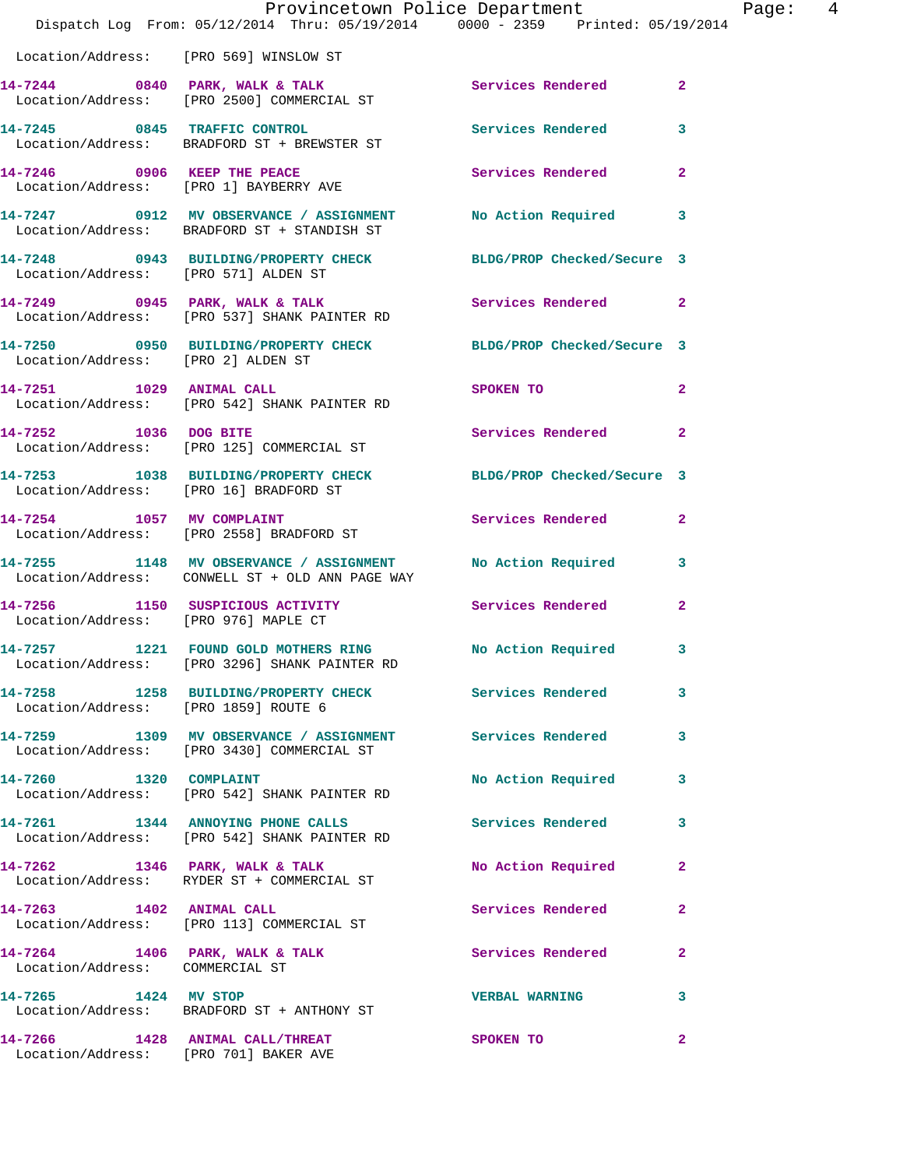|                                                                          | Dispatch Log From: 05/12/2014 Thru: 05/19/2014 0000 - 2359 Printed: 05/19/2014                                | Provincetown Police Department | Ρa             |
|--------------------------------------------------------------------------|---------------------------------------------------------------------------------------------------------------|--------------------------------|----------------|
|                                                                          | Location/Address: [PRO 569] WINSLOW ST                                                                        |                                |                |
|                                                                          | 14-7244 0840 PARK, WALK & TALK (Services Rendered Location/Address: [PRO 2500] COMMERCIAL ST                  |                                | $\overline{2}$ |
|                                                                          | 14-7245 0845 TRAFFIC CONTROL<br>Location/Address: BRADFORD ST + BREWSTER ST                                   | Services Rendered              | 3              |
|                                                                          | 14-7246 0906 KEEP THE PEACE<br>Location/Address: [PRO 1] BAYBERRY AVE                                         | <b>Services Rendered</b>       | $\overline{2}$ |
|                                                                          | 14-7247 0912 MV OBSERVANCE / ASSIGNMENT No Action Required<br>Location/Address: BRADFORD ST + STANDISH ST     |                                | 3              |
| Location/Address: [PRO 571] ALDEN ST                                     | 14-7248 0943 BUILDING/PROPERTY CHECK BLDG/PROP Checked/Secure 3                                               |                                |                |
|                                                                          | 14-7249 0945 PARK, WALK & TALK Services Rendered<br>Location/Address: [PRO 537] SHANK PAINTER RD              |                                | $\overline{2}$ |
| Location/Address: [PRO 2] ALDEN ST                                       | 14-7250 0950 BUILDING/PROPERTY CHECK BLDG/PROP Checked/Secure 3                                               |                                |                |
| 14-7251 1029 ANIMAL CALL                                                 | Location/Address: [PRO 542] SHANK PAINTER RD                                                                  | SPOKEN TO                      | $\overline{2}$ |
|                                                                          | 14-7252 1036 DOG BITE<br>Location/Address: [PRO 125] COMMERCIAL ST                                            | Services Rendered              | $\overline{a}$ |
| Location/Address: [PRO 16] BRADFORD ST                                   | 14-7253 1038 BUILDING/PROPERTY CHECK BLDG/PROP Checked/Secure 3                                               |                                |                |
|                                                                          | 14-7254 1057 MV COMPLAINT<br>Location/Address: [PRO 2558] BRADFORD ST                                         | Services Rendered              | $\overline{2}$ |
|                                                                          | 14-7255 1148 MV OBSERVANCE / ASSIGNMENT No Action Required<br>Location/Address: CONWELL ST + OLD ANN PAGE WAY |                                | 3              |
|                                                                          | 14-7256 1150 SUSPICIOUS ACTIVITY Services Rendered<br>Location/Address: [PRO 976] MAPLE CT                    |                                | $\overline{2}$ |
|                                                                          | 14-7257 1221 FOUND GOLD MOTHERS RING No Action Required<br>Location/Address: [PRO 3296] SHANK PAINTER RD      |                                | $\mathbf{3}$   |
| Location/Address: [PRO 1859] ROUTE 6                                     | 14-7258 1258 BUILDING/PROPERTY CHECK Services Rendered                                                        |                                | 3              |
|                                                                          | 14-7259 1309 MV OBSERVANCE / ASSIGNMENT Services Rendered<br>Location/Address: [PRO 3430] COMMERCIAL ST       |                                | 3              |
|                                                                          | 14-7260 1320 COMPLAINT<br>Location/Address: [PRO 542] SHANK PAINTER RD                                        | No Action Required             | 3              |
|                                                                          | 14-7261 1344 ANNOYING PHONE CALLS Services Rendered<br>Location/Address: [PRO 542] SHANK PAINTER RD           |                                | 3              |
|                                                                          | 14-7262 1346 PARK, WALK & TALK<br>Location/Address: RYDER ST + COMMERCIAL ST                                  | No Action Required             | $\mathbf{2}$   |
| 14-7263 1402 ANIMAL CALL                                                 | Location/Address: [PRO 113] COMMERCIAL ST                                                                     | Services Rendered              | $\mathbf{2}$   |
| Location/Address: COMMERCIAL ST                                          | $14-7264$ 1406 PARK, WALK & TALK                                                                              | Services Rendered              | $\overline{a}$ |
| 14-7265 1424 MV STOP                                                     | Location/Address: BRADFORD ST + ANTHONY ST                                                                    | <b>VERBAL WARNING</b>          | 3              |
| 14-7266 1428 ANIMAL CALL/THREAT<br>Location/Address: [PRO 701] BAKER AVE |                                                                                                               | <b>SPOKEN TO</b>               | $\overline{2}$ |

age:  $4$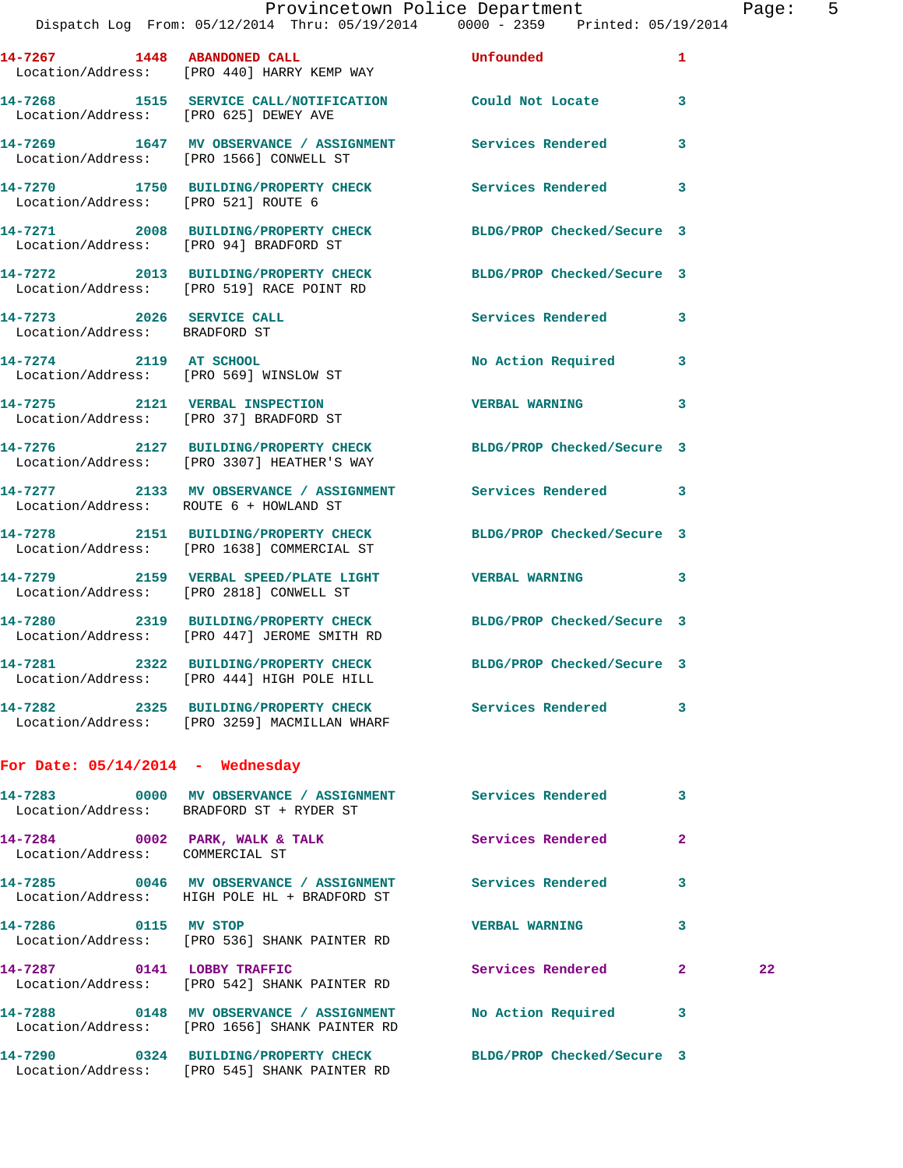**14-7267 1448 ABANDONED CALL Unfounded 1**  Location/Address: [PRO 440] HARRY KEMP WAY **14-7268 1515 SERVICE CALL/NOTIFICATION Could Not Locate 3**  Location/Address: [PRO 625] DEWEY AVE **14-7269 1647 MV OBSERVANCE / ASSIGNMENT Services Rendered 3**  Location/Address: [PRO 1566] CONWELL ST **14-7270 1750 BUILDING/PROPERTY CHECK Services Rendered 3**  Location/Address: [PRO 521] ROUTE 6 **14-7271 2008 BUILDING/PROPERTY CHECK BLDG/PROP Checked/Secure 3**  Location/Address: [PRO 94] BRADFORD ST **14-7272 2013 BUILDING/PROPERTY CHECK BLDG/PROP Checked/Secure 3**  Location/Address: [PRO 519] RACE POINT RD **14-7273 2026 SERVICE CALL Services Rendered 3**  Location/Address: BRADFORD ST **14-7274 2119 AT SCHOOL No Action Required 3**  Location/Address: [PRO 569] WINSLOW ST **14-7275 2121 VERBAL INSPECTION VERBAL WARNING 3**  Location/Address: [PRO 37] BRADFORD ST **14-7276 2127 BUILDING/PROPERTY CHECK BLDG/PROP Checked/Secure 3**  Location/Address: [PRO 3307] HEATHER'S WAY **14-7277 2133 MV OBSERVANCE / ASSIGNMENT Services Rendered 3**  Location/Address: ROUTE 6 + HOWLAND ST **14-7278 2151 BUILDING/PROPERTY CHECK BLDG/PROP Checked/Secure 3**  Location/Address: [PRO 1638] COMMERCIAL ST **14-7279 2159 VERBAL SPEED/PLATE LIGHT VERBAL WARNING 3**  Location/Address: [PRO 2818] CONWELL ST **14-7280 2319 BUILDING/PROPERTY CHECK BLDG/PROP Checked/Secure 3**  Location/Address: [PRO 447] JEROME SMITH RD **14-7281 2322 BUILDING/PROPERTY CHECK BLDG/PROP Checked/Secure 3**  Location/Address: [PRO 444] HIGH POLE HILL **14-7282 2325 BUILDING/PROPERTY CHECK Services Rendered 3**  Location/Address: [PRO 3259] MACMILLAN WHARF **For Date: 05/14/2014 - Wednesday 14-7283 0000 MV OBSERVANCE / ASSIGNMENT Services Rendered 3**  Location/Address: BRADFORD ST + RYDER ST **14-7284 0002 PARK, WALK & TALK Services Rendered 2**  Location/Address: COMMERCIAL ST **14-7285 0046 MV OBSERVANCE / ASSIGNMENT Services Rendered 3**  Location/Address: HIGH POLE HL + BRADFORD ST **14-7286 0115 MV STOP VERBAL WARNING 3**  Location/Address: [PRO 536] SHANK PAINTER RD **14-7287 0141 LOBBY TRAFFIC Services Rendered 2 22**  Location/Address: [PRO 542] SHANK PAINTER RD **14-7288 0148 MV OBSERVANCE / ASSIGNMENT No Action Required 3**  Location/Address: [PRO 1656] SHANK PAINTER RD **14-7290 0324 BUILDING/PROPERTY CHECK BLDG/PROP Checked/Secure 3** 

Location/Address: [PRO 545] SHANK PAINTER RD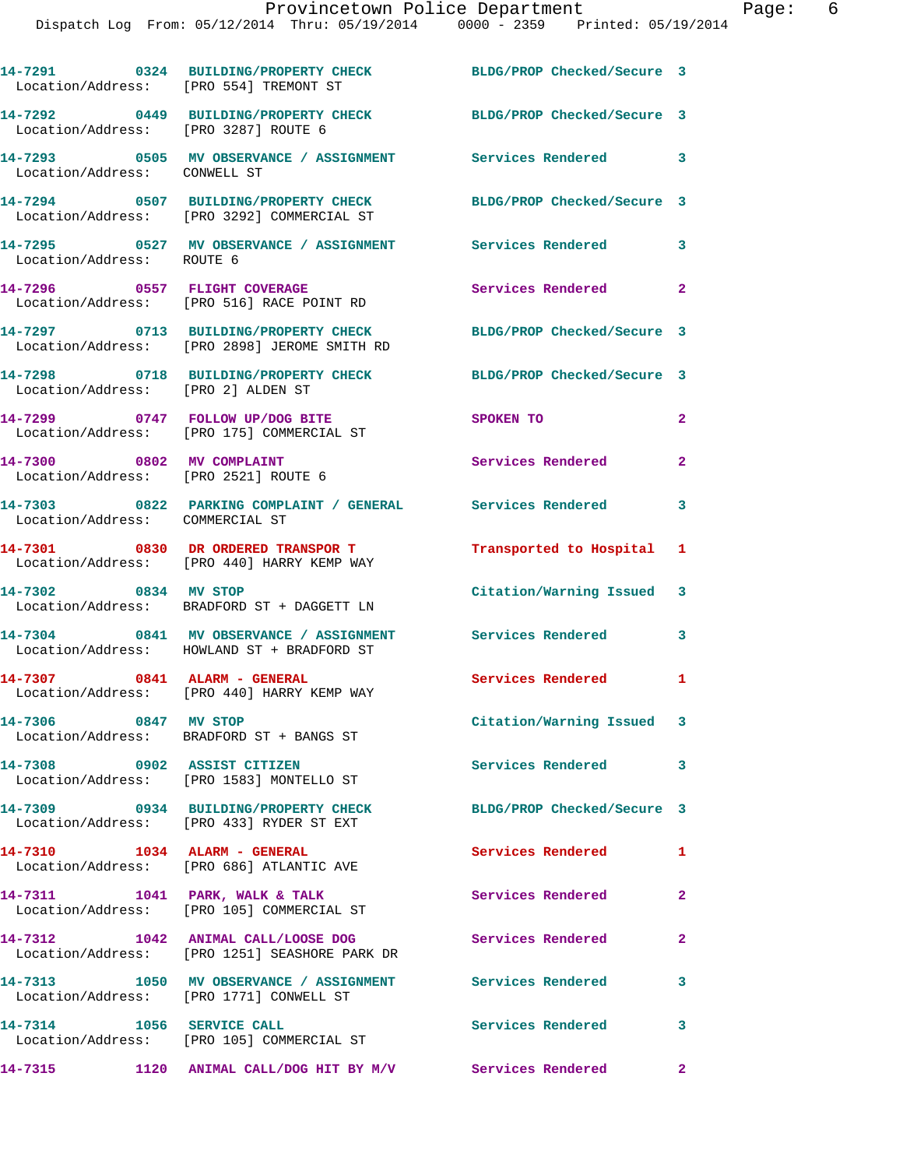| Location/Address: [PRO 554] TREMONT ST                            | 14-7291 0324 BUILDING/PROPERTY CHECK                                                  | BLDG/PROP Checked/Secure 3 |                |
|-------------------------------------------------------------------|---------------------------------------------------------------------------------------|----------------------------|----------------|
| Location/Address: [PRO 3287] ROUTE 6                              | 14-7292 0449 BUILDING/PROPERTY CHECK BLDG/PROP Checked/Secure 3                       |                            |                |
| Location/Address: CONWELL ST                                      | 14-7293 0505 MV OBSERVANCE / ASSIGNMENT Services Rendered 3                           |                            |                |
|                                                                   | 14-7294 0507 BUILDING/PROPERTY CHECK<br>Location/Address: [PRO 3292] COMMERCIAL ST    | BLDG/PROP Checked/Secure 3 |                |
| Location/Address: ROUTE 6                                         | 14-7295 6527 MV OBSERVANCE / ASSIGNMENT Services Rendered                             |                            | 3              |
|                                                                   | 14-7296 0557 FLIGHT COVERAGE<br>Location/Address: [PRO 516] RACE POINT RD             | Services Rendered          | $\mathbf{2}$   |
|                                                                   | 14-7297 0713 BUILDING/PROPERTY CHECK<br>Location/Address: [PRO 2898] JEROME SMITH RD  | BLDG/PROP Checked/Secure 3 |                |
| Location/Address: [PRO 2] ALDEN ST                                | 14-7298 0718 BUILDING/PROPERTY CHECK                                                  | BLDG/PROP Checked/Secure 3 |                |
|                                                                   | 14-7299 0747 FOLLOW UP/DOG BITE<br>Location/Address: [PRO 175] COMMERCIAL ST          | SPOKEN TO                  | $\mathbf{2}$   |
| 14-7300 0802 MV COMPLAINT<br>Location/Address: [PRO 2521] ROUTE 6 |                                                                                       | Services Rendered          | $\overline{2}$ |
| Location/Address: COMMERCIAL ST                                   | 14-7303 0822 PARKING COMPLAINT / GENERAL Services Rendered                            |                            | 3              |
|                                                                   | 14-7301 0830 DR ORDERED TRANSPOR T<br>Location/Address: [PRO 440] HARRY KEMP WAY      | Transported to Hospital 1  |                |
| 14-7302 0834 MV STOP                                              | Location/Address: BRADFORD ST + DAGGETT LN                                            | Citation/Warning Issued 3  |                |
|                                                                   | 14-7304 0841 MV OBSERVANCE / ASSIGNMENT<br>Location/Address: HOWLAND ST + BRADFORD ST | Services Rendered          | 3              |
| 14-7307 0841 ALARM - GENERAL                                      | Location/Address: [PRO 440] HARRY KEMP WAY                                            | Services Rendered          | $\mathbf{1}$   |
| 14-7306 0847 MV STOP                                              | Location/Address: BRADFORD ST + BANGS ST                                              | Citation/Warning Issued 3  |                |
| 14-7308 0902 ASSIST CITIZEN                                       | Location/Address: [PRO 1583] MONTELLO ST                                              | Services Rendered          | 3              |
|                                                                   | 14-7309 0934 BUILDING/PROPERTY CHECK<br>Location/Address: [PRO 433] RYDER ST EXT      | BLDG/PROP Checked/Secure 3 |                |
| 14-7310 1034 ALARM - GENERAL                                      | Location/Address: [PRO 686] ATLANTIC AVE                                              | Services Rendered          | $\blacksquare$ |
|                                                                   | 14-7311 1041 PARK, WALK & TALK<br>Location/Address: [PRO 105] COMMERCIAL ST           | Services Rendered          | $\mathbf{2}$   |
|                                                                   | 14-7312 1042 ANIMAL CALL/LOOSE DOG<br>Location/Address: [PRO 1251] SEASHORE PARK DR   | <b>Services Rendered</b>   | $\mathbf{2}$   |
| Location/Address: [PRO 1771] CONWELL ST                           | 14-7313 1050 MV OBSERVANCE / ASSIGNMENT Services Rendered                             |                            | 3              |
| 14-7314 1056 SERVICE CALL                                         | Location/Address: [PRO 105] COMMERCIAL ST                                             | Services Rendered          | 3              |
|                                                                   | 14-7315 1120 ANIMAL CALL/DOG HIT BY M/V Services Rendered                             |                            | $\mathbf{2}$   |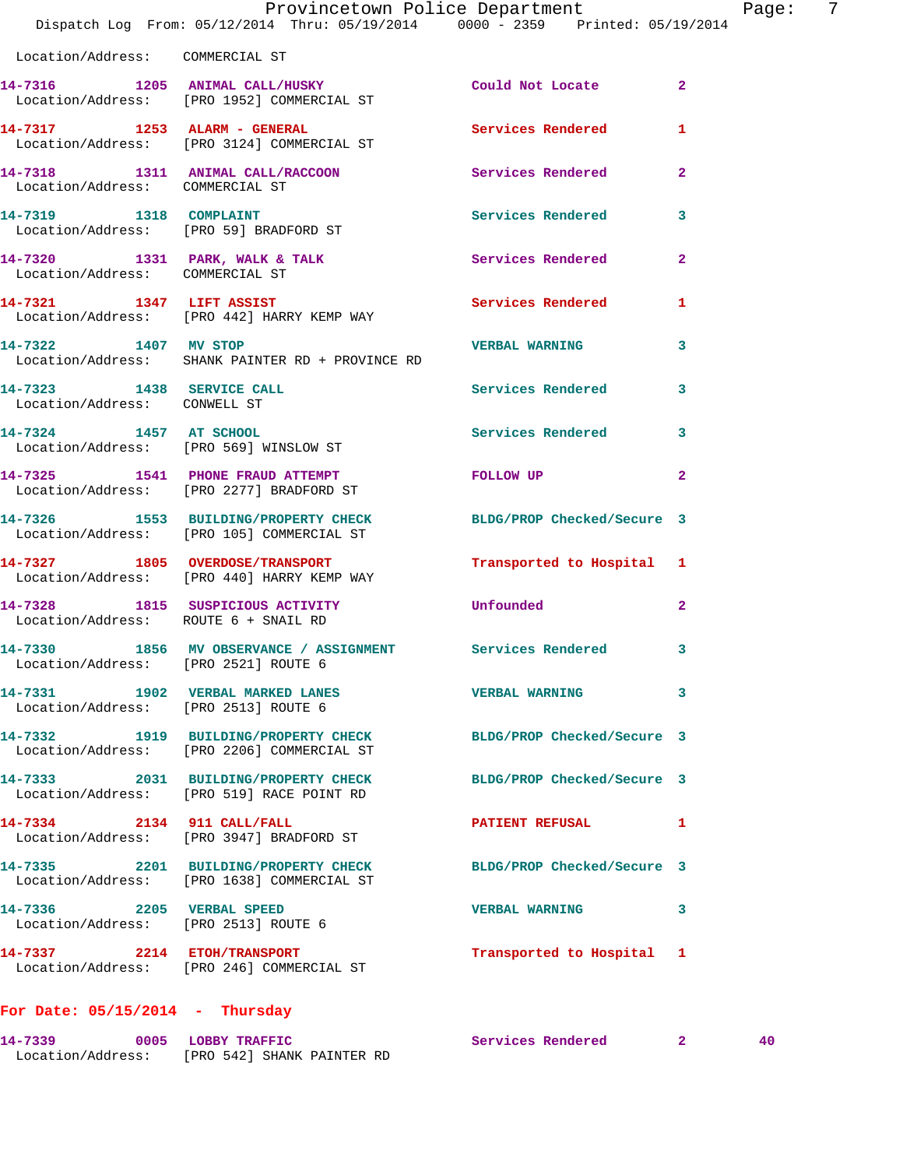|                                                                   | Provincetown Police Department<br>Dispatch Log From: 05/12/2014 Thru: 05/19/2014 0000 - 2359 Printed: 05/19/2014 |                           | Page:          | $\overline{7}$ |
|-------------------------------------------------------------------|------------------------------------------------------------------------------------------------------------------|---------------------------|----------------|----------------|
| Location/Address: COMMERCIAL ST                                   |                                                                                                                  |                           |                |                |
|                                                                   | 14-7316 1205 ANIMAL CALL/HUSKY Could Not Locate 2<br>Location/Address: [PRO 1952] COMMERCIAL ST                  |                           |                |                |
|                                                                   | 14-7317 1253 ALARM - GENERAL<br>Location/Address: [PRO 3124] COMMERCIAL ST                                       | Services Rendered 1       |                |                |
| Location/Address: COMMERCIAL ST                                   | 14-7318 1311 ANIMAL CALL/RACCOON Services Rendered 2                                                             |                           |                |                |
|                                                                   | 14-7319 1318 COMPLAINT<br>Location/Address: [PRO 59] BRADFORD ST                                                 | Services Rendered 3       |                |                |
| Location/Address: COMMERCIAL ST                                   | 14-7320 1331 PARK, WALK & TALK 6 Services Rendered 2                                                             |                           |                |                |
|                                                                   | 14-7321 1347 LIFT ASSIST Services Rendered 1<br>Location/Address: [PRO 442] HARRY KEMP WAY                       |                           |                |                |
|                                                                   | 14-7322 1407 MV STOP 1407 2007 2008 2010 14-7322<br>Location/Address: SHANK PAINTER RD + PROVINCE RD             |                           |                |                |
| Location/Address: CONWELL ST                                      | 14-7323 1438 SERVICE CALL 2008 Services Rendered 3                                                               |                           |                |                |
|                                                                   | 14-7324 1457 AT SCHOOL<br>Location/Address: [PRO 569] WINSLOW ST                                                 | Services Rendered 3       |                |                |
|                                                                   | 14-7325 1541 PHONE FRAUD ATTEMPT<br>Location/Address: [PRO 2277] BRADFORD ST                                     | FOLLOW UP                 | $\overline{2}$ |                |
|                                                                   | 14-7326 1553 BUILDING/PROPERTY CHECK BLDG/PROP Checked/Secure 3<br>Location/Address: [PRO 105] COMMERCIAL ST     |                           |                |                |
|                                                                   | 14-7327 1805 OVERDOSE/TRANSPORT<br>Location/Address: [PRO 440] HARRY KEMP WAY                                    | Transported to Hospital 1 |                |                |
| Location/Address: ROUTE 6 + SNAIL RD                              | 14-7328 1815 SUSPICIOUS ACTIVITY Unfounded                                                                       |                           | $\overline{2}$ |                |
| Location/Address: [PRO 2521] ROUTE 6                              | 14-7330 1856 MV OBSERVANCE / ASSIGNMENT Services Rendered 3                                                      |                           |                |                |
| Location/Address: [PRO 2513] ROUTE 6                              | 14-7331 1902 VERBAL MARKED LANES                                                                                 | <b>VERBAL WARNING</b>     | 3              |                |
|                                                                   | 14-7332 1919 BUILDING/PROPERTY CHECK BLDG/PROP Checked/Secure 3<br>Location/Address: [PRO 2206] COMMERCIAL ST    |                           |                |                |
|                                                                   | 14-7333 2031 BUILDING/PROPERTY CHECK BLDG/PROP Checked/Secure 3<br>Location/Address: [PRO 519] RACE POINT RD     |                           |                |                |
| 14-7334 2134 911 CALL/FALL                                        | Location/Address: [PRO 3947] BRADFORD ST                                                                         | PATIENT REFUSAL 1         |                |                |
|                                                                   | 14-7335 2201 BUILDING/PROPERTY CHECK BLDG/PROP Checked/Secure 3<br>Location/Address: [PRO 1638] COMMERCIAL ST    |                           |                |                |
| 14-7336 2205 VERBAL SPEED<br>Location/Address: [PRO 2513] ROUTE 6 |                                                                                                                  | VERBAL WARNING 3          |                |                |
|                                                                   | 14-7337 2214 ETOH/TRANSPORT<br>Location/Address: [PRO 246] COMMERCIAL ST                                         | Transported to Hospital 1 |                |                |
| For Date: $05/15/2014$ - Thursday                                 |                                                                                                                  |                           |                |                |

**14-7339 0005 LOBBY TRAFFIC Services Rendered 2 40** 

Location/Address: [PRO 542] SHANK PAINTER RD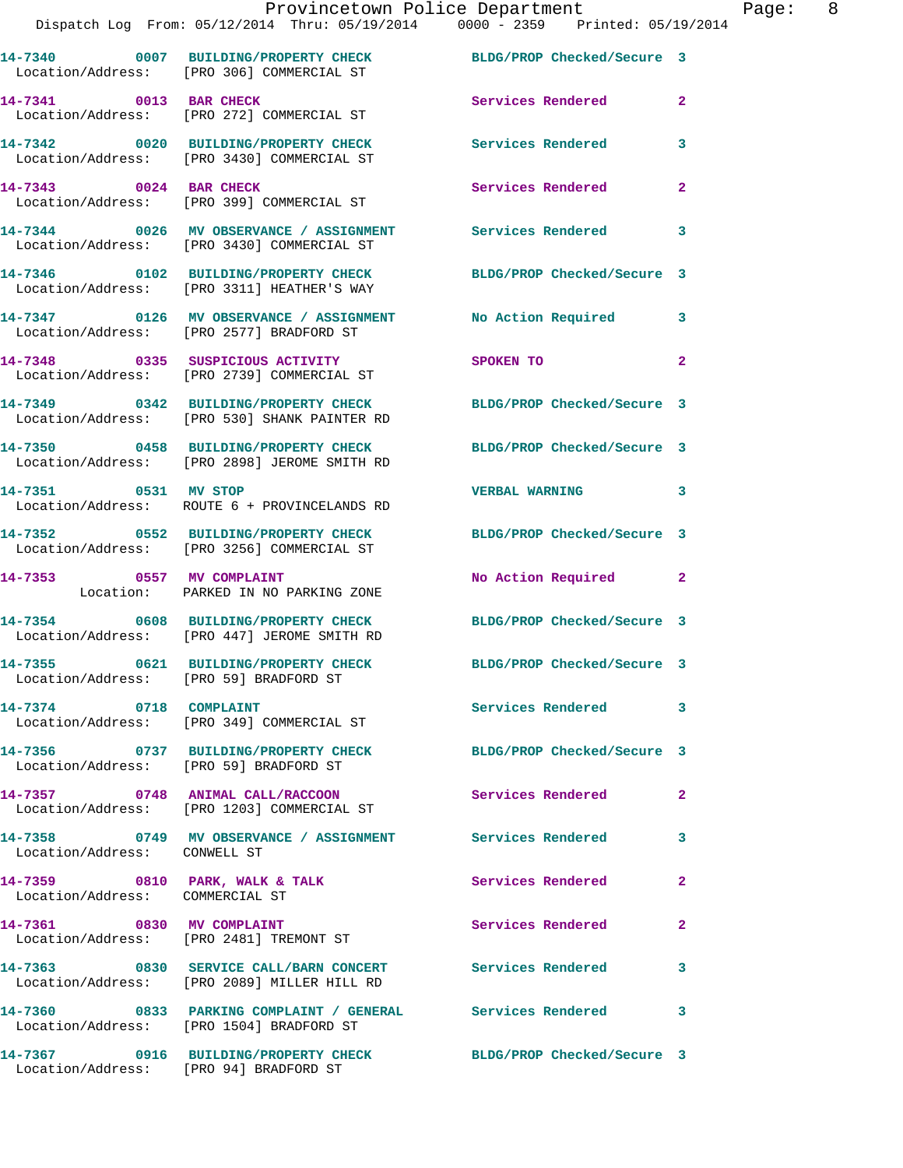|                                        | Provincetown Police Department<br>Dispatch Log From: 05/12/2014 Thru: 05/19/2014 0000 - 2359 Printed: 05/19/2014 |                            |                         |
|----------------------------------------|------------------------------------------------------------------------------------------------------------------|----------------------------|-------------------------|
|                                        | 14-7340 0007 BUILDING/PROPERTY CHECK BLDG/PROP Checked/Secure 3<br>Location/Address: [PRO 306] COMMERCIAL ST     |                            |                         |
| 14-7341 0013 BAR CHECK                 | Location/Address: [PRO 272] COMMERCIAL ST                                                                        | Services Rendered          | $\overline{a}$          |
|                                        | 14-7342 0020 BUILDING/PROPERTY CHECK Services Rendered<br>Location/Address: [PRO 3430] COMMERCIAL ST             |                            | $\overline{\mathbf{3}}$ |
| 14-7343 0024 BAR CHECK                 | Location/Address: [PRO 399] COMMERCIAL ST                                                                        | <b>Services Rendered</b>   | $\overline{a}$          |
|                                        | 14-7344 0026 MV OBSERVANCE / ASSIGNMENT Services Rendered<br>Location/Address: [PRO 3430] COMMERCIAL ST          |                            | $\overline{\mathbf{3}}$ |
|                                        | 14-7346 0102 BUILDING/PROPERTY CHECK<br>Location/Address: [PRO 3311] HEATHER'S WAY                               | BLDG/PROP Checked/Secure 3 |                         |
|                                        | 14-7347 0126 MV OBSERVANCE / ASSIGNMENT No Action Required<br>Location/Address: [PRO 2577] BRADFORD ST           |                            | 3                       |
|                                        | 14-7348 0335 SUSPICIOUS ACTIVITY<br>Location/Address: [PRO 2739] COMMERCIAL ST                                   | SPOKEN TO                  | $\overline{2}$          |
|                                        | 14-7349 0342 BUILDING/PROPERTY CHECK<br>Location/Address: [PRO 530] SHANK PAINTER RD                             | BLDG/PROP Checked/Secure 3 |                         |
|                                        | 14-7350 0458 BUILDING/PROPERTY CHECK BLDG/PROP Checked/Secure 3<br>Location/Address: [PRO 2898] JEROME SMITH RD  |                            |                         |
| 14-7351 0531 MV STOP                   | Location/Address: ROUTE 6 + PROVINCELANDS RD                                                                     | <b>VERBAL WARNING</b>      | $\overline{\mathbf{3}}$ |
|                                        | 14-7352 0552 BUILDING/PROPERTY CHECK<br>Location/Address: [PRO 3256] COMMERCIAL ST                               | BLDG/PROP Checked/Secure 3 |                         |
| 14-7353 0557 MV COMPLAINT              | Location: PARKED IN NO PARKING ZONE                                                                              | No Action Required         | $\overline{2}$          |
|                                        | 14-7354 0608 BUILDING/PROPERTY CHECK BLDG/PROP Checked/Secure 3<br>Location/Address: [PRO 447] JEROME SMITH RD   |                            |                         |
| Location/Address: [PRO 59] BRADFORD ST | 14-7355 0621 BUILDING/PROPERTY CHECK BLDG/PROP Checked/Secure 3                                                  |                            |                         |
| 14-7374 0718 COMPLAINT                 | Location/Address: [PRO 349] COMMERCIAL ST                                                                        | <b>Services Rendered</b>   | $\overline{\mathbf{3}}$ |

**14-7356 0737 BUILDING/PROPERTY CHECK BLDG/PROP Checked/Secure 3**  Location/Address: [PRO 59] BRADFORD ST

Location/Address: [PRO 1203] COMMERCIAL ST

Location/Address: CONWELL ST

Location/Address: COMMERCIAL ST

**14-7361 0830 MV COMPLAINT Services Rendered 2** 

Location/Address: [PRO 2481] TREMONT ST

**14-7363 0830 SERVICE CALL/BARN CONCERT Services Rendered 3**  Location/Address: [PRO 2089] MILLER HILL RD

**14-7360 0833 PARKING COMPLAINT / GENERAL Services Rendered 3**  Location/Address: [PRO 1504] BRADFORD ST

**14-7367 0916 BUILDING/PROPERTY CHECK BLDG/PROP Checked/Secure 3**  Location/Address: [PRO 94] BRADFORD ST

**14-7357 0748 ANIMAL CALL/RACCOON Services Rendered 2** 

**14-7358 0749 MV OBSERVANCE / ASSIGNMENT Services Rendered 3** 

14-7359 0810 PARK, WALK & TALK Services Rendered 2

Page: 8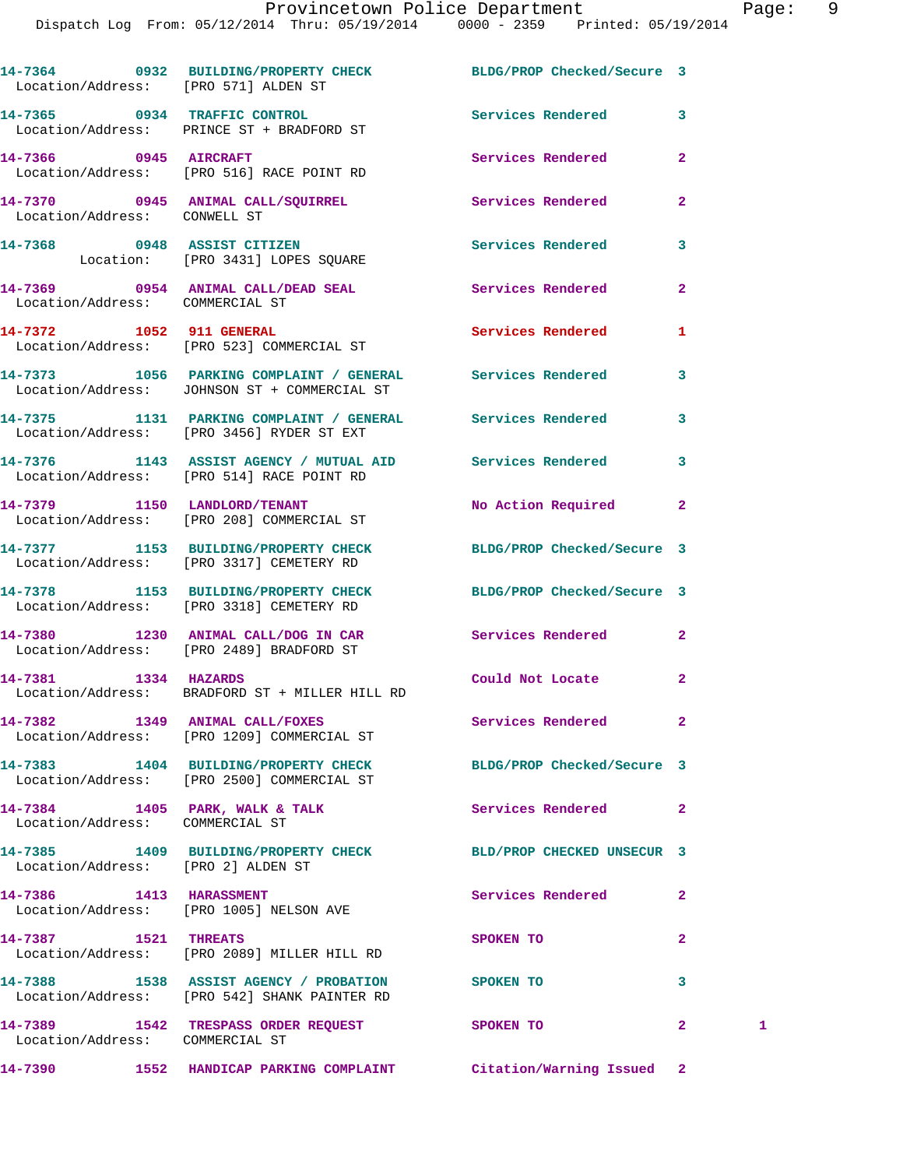|                                    | 14-7364 0932 BUILDING/PROPERTY CHECK BLDG/PROP Checked/Secure 3<br>Location/Address: [PRO 571] ALDEN ST       |                          |                         |   |
|------------------------------------|---------------------------------------------------------------------------------------------------------------|--------------------------|-------------------------|---|
|                                    | 14-7365 0934 TRAFFIC CONTROL<br>Location/Address: PRINCE ST + BRADFORD ST                                     | Services Rendered        | $\mathbf{3}$            |   |
| 14-7366 0945 AIRCRAFT              | Location/Address: [PRO 516] RACE POINT RD                                                                     | Services Rendered        | $\overline{a}$          |   |
| Location/Address: CONWELL ST       | 14-7370 0945 ANIMAL CALL/SQUIRREL 2007 Services Rendered                                                      |                          | $\overline{2}$          |   |
|                                    | 14-7368 0948 ASSIST CITIZEN<br>Location: [PRO 3431] LOPES SQUARE                                              | Services Rendered        | 3                       |   |
| Location/Address: COMMERCIAL ST    | 14-7369 0954 ANIMAL CALL/DEAD SEAL Services Rendered                                                          |                          | $\overline{a}$          |   |
|                                    | 14-7372 1052 911 GENERAL<br>Location/Address: [PRO 523] COMMERCIAL ST                                         | Services Rendered        | 1                       |   |
|                                    | 14-7373 1056 PARKING COMPLAINT / GENERAL Services Rendered<br>Location/Address: JOHNSON ST + COMMERCIAL ST    |                          | 3                       |   |
|                                    | 14-7375 1131 PARKING COMPLAINT / GENERAL Services Rendered<br>Location/Address: [PRO 3456] RYDER ST EXT       |                          | 3                       |   |
|                                    | 14-7376 1143 ASSIST AGENCY / MUTUAL AID Services Rendered<br>Location/Address: [PRO 514] RACE POINT RD        |                          | 3                       |   |
|                                    | 14-7379 1150 LANDLORD/TENANT<br>Location/Address: [PRO 208] COMMERCIAL ST                                     | No Action Required       | $\mathbf{2}$            |   |
|                                    | 14-7377 1153 BUILDING/PROPERTY CHECK BLDG/PROP Checked/Secure 3<br>Location/Address: [PRO 3317] CEMETERY RD   |                          |                         |   |
|                                    | 14-7378 1153 BUILDING/PROPERTY CHECK BLDG/PROP Checked/Secure 3<br>Location/Address: [PRO 3318] CEMETERY RD   |                          |                         |   |
|                                    | 14-7380 1230 ANIMAL CALL/DOG IN CAR Services Rendered 2<br>Location/Address: [PRO 2489] BRADFORD ST           |                          |                         |   |
|                                    | 14-7381 1334 HAZARDS<br>Location/Address: BRADFORD ST + MILLER HILL RD                                        | Could Not Locate         | $\mathbf{2}$            |   |
|                                    | 14-7382 1349 ANIMAL CALL/FOXES<br>Location/Address: [PRO 1209] COMMERCIAL ST                                  | Services Rendered        | $\overline{\mathbf{2}}$ |   |
|                                    | 14-7383 1404 BUILDING/PROPERTY CHECK BLDG/PROP Checked/Secure 3<br>Location/Address: [PRO 2500] COMMERCIAL ST |                          |                         |   |
| Location/Address: COMMERCIAL ST    | 14-7384 1405 PARK, WALK & TALK                                                                                | Services Rendered        | $\mathbf{2}$            |   |
| Location/Address: [PRO 2] ALDEN ST | 14-7385 1409 BUILDING/PROPERTY CHECK BLD/PROP CHECKED UNSECUR 3                                               |                          |                         |   |
|                                    | 14-7386 1413 HARASSMENT<br>Location/Address: [PRO 1005] NELSON AVE                                            | <b>Services Rendered</b> | 2                       |   |
| 14-7387 1521 THREATS               | Location/Address: [PRO 2089] MILLER HILL RD                                                                   | SPOKEN TO                | 2                       |   |
|                                    | 14-7388 1538 ASSIST AGENCY / PROBATION SPOKEN TO<br>Location/Address: [PRO 542] SHANK PAINTER RD              |                          | 3                       |   |
| Location/Address: COMMERCIAL ST    | 14-7389 1542 TRESPASS ORDER REQUEST SPOKEN TO                                                                 |                          | $\mathbf{2}$            | 1 |
|                                    | 14-7390 1552 HANDICAP PARKING COMPLAINT Citation/Warning Issued 2                                             |                          |                         |   |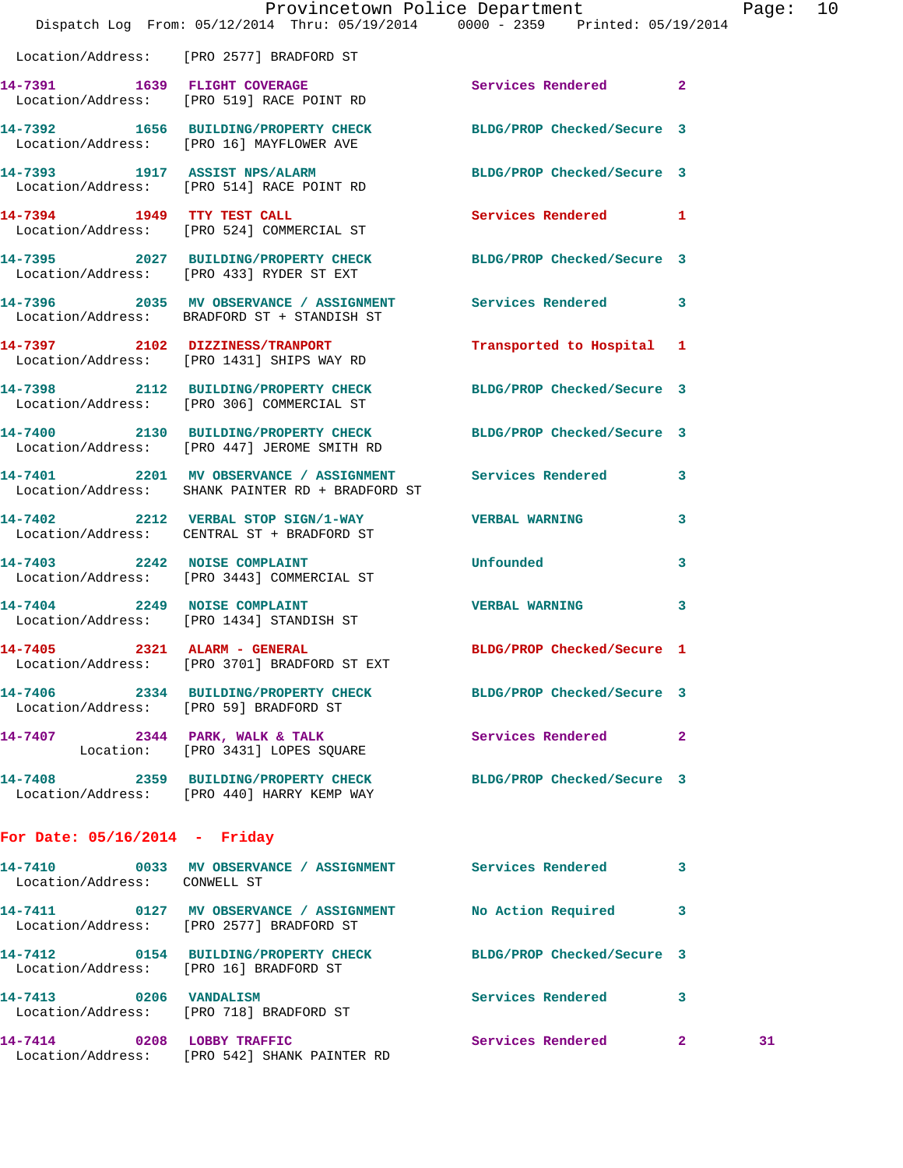|                                 | Dispatch Log From: 05/12/2014 Thru: 05/19/2014 0000 - 2359 Printed: 05/19/2014                                  | Provincetown Police Department | Pa |
|---------------------------------|-----------------------------------------------------------------------------------------------------------------|--------------------------------|----|
|                                 | Location/Address: [PRO 2577] BRADFORD ST                                                                        |                                |    |
|                                 | 14-7391 1639 FLIGHT COVERAGE<br>Location/Address: [PRO 519] RACE POINT RD                                       | Services Rendered 2            |    |
|                                 | 14-7392 1656 BUILDING/PROPERTY CHECK BLDG/PROP Checked/Secure 3<br>Location/Address: [PRO 16] MAYFLOWER AVE     |                                |    |
|                                 | 14-7393 1917 ASSIST NPS/ALARM<br>Location/Address: [PRO 514] RACE POINT RD                                      | BLDG/PROP Checked/Secure 3     |    |
|                                 | 14-7394 1949 TTY TEST CALL<br>Location/Address: [PRO 524] COMMERCIAL ST                                         | Services Rendered 1            |    |
|                                 | 14-7395 2027 BUILDING/PROPERTY CHECK BLDG/PROP Checked/Secure 3<br>Location/Address: [PRO 433] RYDER ST EXT     |                                |    |
|                                 | 14-7396 2035 MV OBSERVANCE / ASSIGNMENT Services Rendered 3<br>Location/Address: BRADFORD ST + STANDISH ST      |                                |    |
|                                 | 14-7397 2102 DIZZINESS/TRANPORT<br>Location/Address: [PRO 1431] SHIPS WAY RD                                    | Transported to Hospital 1      |    |
|                                 | 14-7398 2112 BUILDING/PROPERTY CHECK BLDG/PROP Checked/Secure 3<br>Location/Address: [PRO 306] COMMERCIAL ST    |                                |    |
|                                 | 14-7400 2130 BUILDING/PROPERTY CHECK BLDG/PROP Checked/Secure 3<br>Location/Address: [PRO 447] JEROME SMITH RD  |                                |    |
|                                 | 14-7401 2201 MV OBSERVANCE / ASSIGNMENT Services Rendered 3<br>Location/Address: SHANK PAINTER RD + BRADFORD ST |                                |    |
|                                 | 14-7402 2212 VERBAL STOP SIGN/1-WAY VERBAL WARNING<br>Location/Address: CENTRAL ST + BRADFORD ST                |                                | 3  |
|                                 | 14-7403 2242 NOISE COMPLAINT<br>Location/Address: [PRO 3443] COMMERCIAL ST                                      | <b>Unfounded</b>               | 3  |
|                                 | 14-7404 2249 NOISE COMPLAINT<br>Location/Address: [PRO 1434] STANDISH ST                                        | <b>VERBAL WARNING</b>          | 3  |
|                                 | 14-7405 2321 ALARM - GENERAL<br>Location/Address: [PRO 3701] BRADFORD ST EXT                                    | BLDG/PROP Checked/Secure 1     |    |
|                                 | 14-7406 2334 BUILDING/PROPERTY CHECK BLDG/PROP Checked/Secure 3<br>Location/Address: [PRO 59] BRADFORD ST       |                                |    |
|                                 | 14-7407 2344 PARK, WALK & TALK<br>Location: [PRO 3431] LOPES SQUARE                                             | Services Rendered 2            |    |
|                                 | 14-7408 2359 BUILDING/PROPERTY CHECK BLDG/PROP Checked/Secure 3<br>Location/Address: [PRO 440] HARRY KEMP WAY   |                                |    |
| For Date: $05/16/2014$ - Friday |                                                                                                                 |                                |    |
| Location/Address: CONWELL ST    | 14-7410 0033 MV OBSERVANCE / ASSIGNMENT Services Rendered                                                       |                                | 3  |
|                                 | 14-7411 0127 MV OBSERVANCE / ASSIGNMENT No Action Required 3<br>Location/Address: [PRO 2577] BRADFORD ST        |                                |    |
|                                 | 14-7412 0154 BUILDING/PROPERTY CHECK BLDG/PROP Checked/Secure 3<br>Location/Address: [PRO 16] BRADFORD ST       |                                |    |
| 14-7413 0206 VANDALISM          | Location/Address: [PRO 718] BRADFORD ST                                                                         | Services Rendered 3            |    |

**14-7414 0208 LOBBY TRAFFIC Services Rendered 2 31**  Location/Address: [PRO 542] SHANK PAINTER RD

age: 10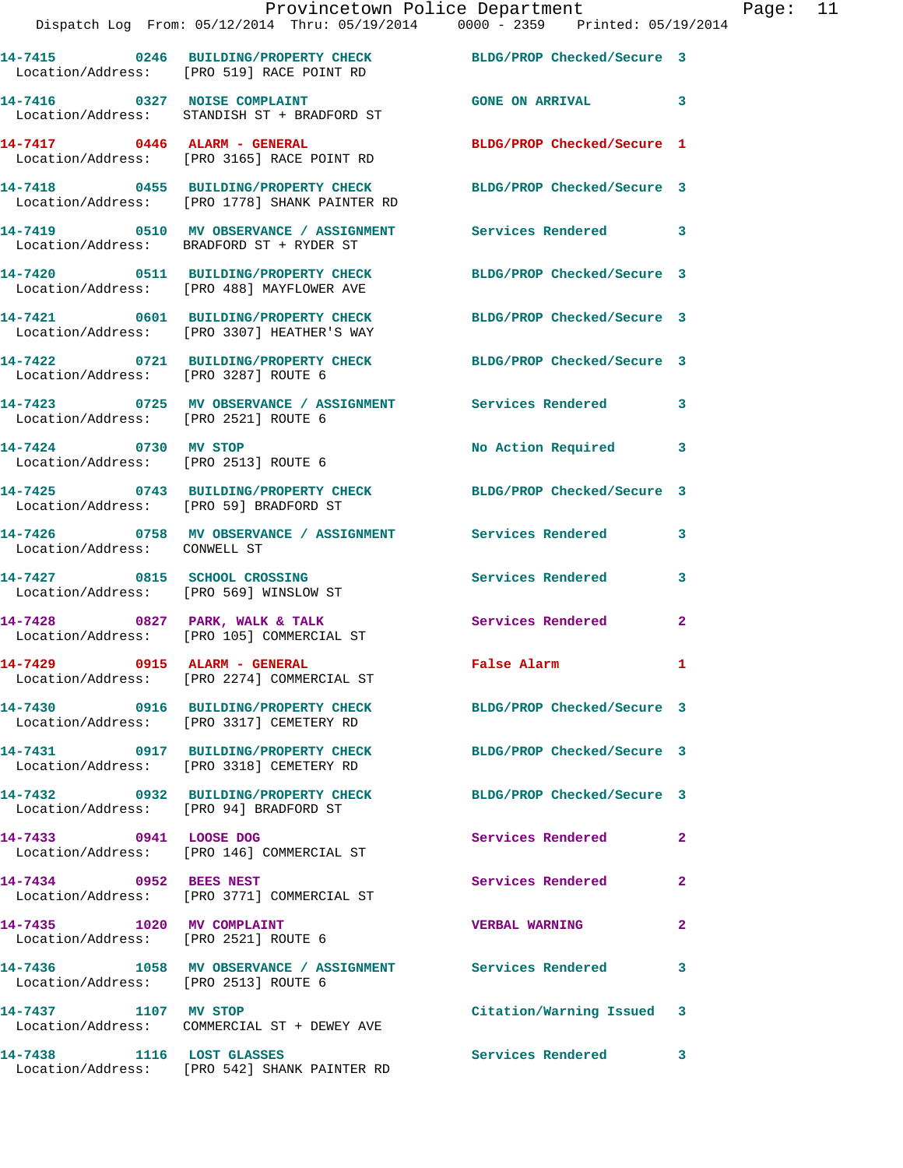|                                                                   | Provincetown Police Department<br>Dispatch Log From: 05/12/2014 Thru: 05/19/2014 0000 - 2359 Printed: 05/19/2014 |                            |                |
|-------------------------------------------------------------------|------------------------------------------------------------------------------------------------------------------|----------------------------|----------------|
|                                                                   | 14-7415 0246 BUILDING/PROPERTY CHECK BLDG/PROP Checked/Secure 3<br>Location/Address: [PRO 519] RACE POINT RD     |                            |                |
|                                                                   | 14-7416 0327 NOISE COMPLAINT<br>Location/Address: STANDISH ST + BRADFORD ST                                      | <b>GONE ON ARRIVAL</b>     | 3              |
|                                                                   | 14-7417 0446 ALARM - GENERAL<br>Location/Address: [PRO 3165] RACE POINT RD                                       | BLDG/PROP Checked/Secure 1 |                |
|                                                                   | 14-7418 0455 BUILDING/PROPERTY CHECK BLDG/PROP Checked/Secure 3<br>Location/Address: [PRO 1778] SHANK PAINTER RD |                            |                |
|                                                                   | 14-7419 0510 MV OBSERVANCE / ASSIGNMENT Services Rendered<br>Location/Address: BRADFORD ST + RYDER ST            |                            | 3              |
|                                                                   | 14-7420 0511 BUILDING/PROPERTY CHECK<br>Location/Address: [PRO 488] MAYFLOWER AVE                                | BLDG/PROP Checked/Secure 3 |                |
|                                                                   | 14-7421 0601 BUILDING/PROPERTY CHECK BLDG/PROP Checked/Secure 3<br>Location/Address: [PRO 3307] HEATHER'S WAY    |                            |                |
| Location/Address: [PRO 3287] ROUTE 6                              | 14-7422 0721 BUILDING/PROPERTY CHECK BLDG/PROP Checked/Secure 3                                                  |                            |                |
| Location/Address: [PRO 2521] ROUTE 6                              | 14-7423 0725 MV OBSERVANCE / ASSIGNMENT Services Rendered                                                        |                            | 3              |
| 14-7424 0730 MV STOP<br>Location/Address: [PRO 2513] ROUTE 6      |                                                                                                                  | No Action Required         | 3              |
| Location/Address: [PRO 59] BRADFORD ST                            | 14-7425 0743 BUILDING/PROPERTY CHECK BLDG/PROP Checked/Secure 3                                                  |                            |                |
| Location/Address: CONWELL ST                                      | 14-7426 		 0758 MV OBSERVANCE / ASSIGNMENT Services Rendered                                                     |                            | 3              |
| 14-7427 0815 SCHOOL CROSSING                                      | Location/Address: [PRO 569] WINSLOW ST                                                                           | <b>Services Rendered</b>   | 3              |
|                                                                   | $14-7428$ 0827 PARK, WALK & TALK<br>Location/Address: [PRO 105] COMMERCIAL ST                                    | <b>Services Rendered</b>   | $\overline{a}$ |
| 14-7429 0915 ALARM - GENERAL                                      | Location/Address: [PRO 2274] COMMERCIAL ST                                                                       | False Alarm                |                |
|                                                                   | 14-7430 0916 BUILDING/PROPERTY CHECK<br>Location/Address: [PRO 3317] CEMETERY RD                                 | BLDG/PROP Checked/Secure 3 |                |
|                                                                   | 14-7431 0917 BUILDING/PROPERTY CHECK<br>Location/Address: [PRO 3318] CEMETERY RD                                 | BLDG/PROP Checked/Secure 3 |                |
|                                                                   | 14-7432 0932 BUILDING/PROPERTY CHECK<br>Location/Address: [PRO 94] BRADFORD ST                                   | BLDG/PROP Checked/Secure 3 |                |
| 14-7433 0941 LOOSE DOG                                            | Location/Address: [PRO 146] COMMERCIAL ST                                                                        | Services Rendered          | 2              |
| 14-7434 0952 BEES NEST                                            | Location/Address: [PRO 3771] COMMERCIAL ST                                                                       | Services Rendered          | 2              |
| 14-7435 1020 MV COMPLAINT<br>Location/Address: [PRO 2521] ROUTE 6 |                                                                                                                  | <b>VERBAL WARNING</b>      | 2              |
| Location/Address: [PRO 2513] ROUTE 6                              | 14-7436 1058 MV OBSERVANCE / ASSIGNMENT Services Rendered                                                        |                            | 3              |
| 14-7437 1107 MV STOP                                              | Location/Address: COMMERCIAL ST + DEWEY AVE                                                                      | Citation/Warning Issued    | 3              |
| 14-7438 1116 LOST GLASSES                                         | Location/Address: [PRO 542] SHANK PAINTER RD                                                                     | <b>Services Rendered</b>   | 3              |

Page: 11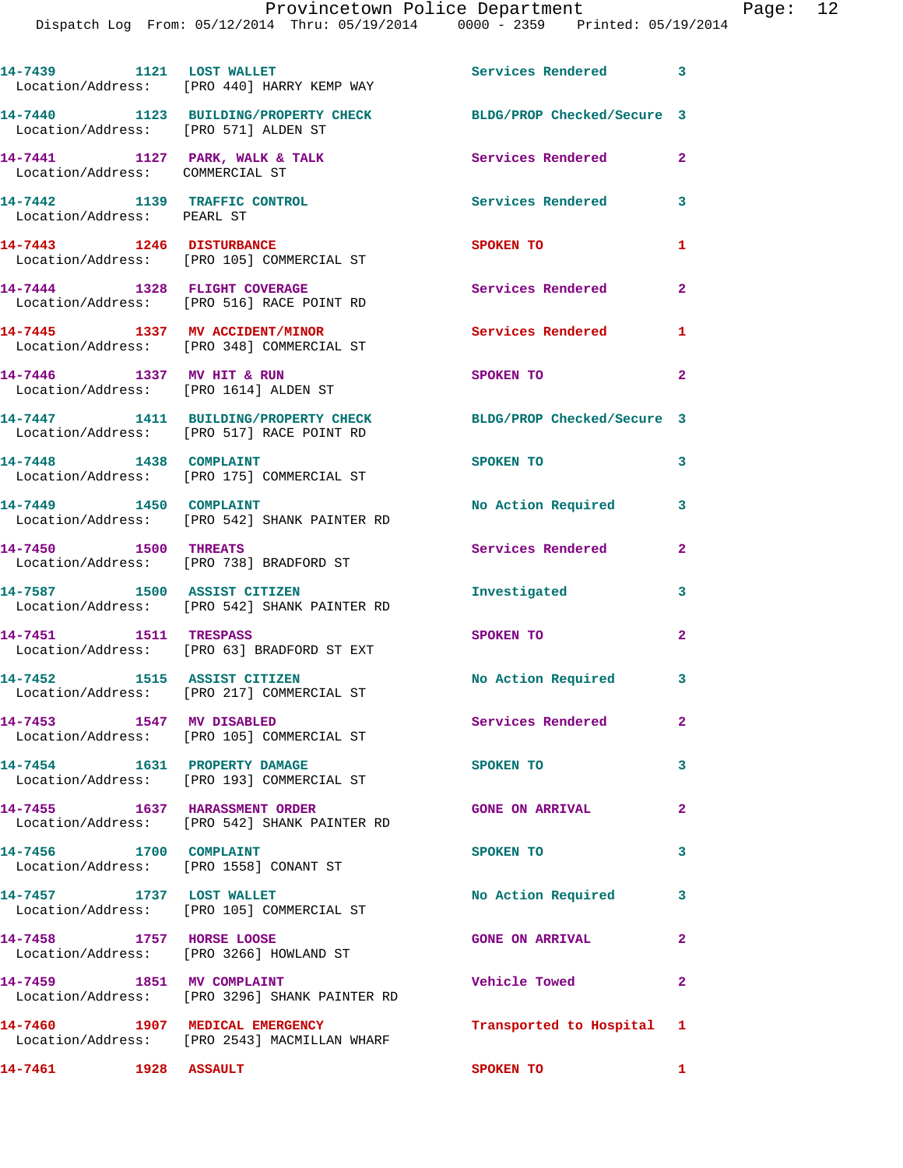Dispatch Log From: 05/12/2014 Thru: 05/19/2014 0000 - 2359 Printed: 05/19/2014

|                                                                    | 14-7439 1121 LOST WALLET<br>Location/Address: [PRO 440] HARRY KEMP WAY            | Services Rendered 3        |                         |
|--------------------------------------------------------------------|-----------------------------------------------------------------------------------|----------------------------|-------------------------|
| Location/Address: [PRO 571] ALDEN ST                               | 14-7440 1123 BUILDING/PROPERTY CHECK                                              | BLDG/PROP Checked/Secure 3 |                         |
| 14-7441 1127 PARK, WALK & TALK<br>Location/Address: COMMERCIAL ST  |                                                                                   | <b>Services Rendered</b>   | $\overline{2}$          |
| 14-7442 1139 TRAFFIC CONTROL<br>Location/Address: PEARL ST         |                                                                                   | <b>Services Rendered</b>   | $\overline{\mathbf{3}}$ |
| 14-7443 1246 DISTURBANCE                                           | Location/Address: [PRO 105] COMMERCIAL ST                                         | SPOKEN TO                  | 1                       |
| 14-7444 1328 FLIGHT COVERAGE                                       | Location/Address: [PRO 516] RACE POINT RD                                         | Services Rendered          | $\mathbf{2}$            |
|                                                                    | 14-7445 1337 MV ACCIDENT/MINOR<br>Location/Address: [PRO 348] COMMERCIAL ST       | <b>Services Rendered</b>   | $\mathbf{1}$            |
| 14-7446 1337 MV HIT & RUN<br>Location/Address: [PRO 1614] ALDEN ST |                                                                                   | SPOKEN TO                  | $\overline{2}$          |
|                                                                    | 14-7447 1411 BUILDING/PROPERTY CHECK<br>Location/Address: [PRO 517] RACE POINT RD | BLDG/PROP Checked/Secure 3 |                         |
| 14-7448 1438 COMPLAINT                                             | Location/Address: [PRO 175] COMMERCIAL ST                                         | SPOKEN TO                  | 3                       |
| 14-7449 1450 COMPLAINT                                             | Location/Address: [PRO 542] SHANK PAINTER RD                                      | No Action Required         | 3                       |
| 14-7450 1500 THREATS                                               | Location/Address: [PRO 738] BRADFORD ST                                           | Services Rendered          | $\mathbf{2}$            |
|                                                                    | 14-7587 1500 ASSIST CITIZEN<br>Location/Address: [PRO 542] SHANK PAINTER RD       | Investigated               | 3                       |
| 14-7451 1511 TRESPASS                                              | Location/Address: [PRO 63] BRADFORD ST EXT                                        | SPOKEN TO                  | $\mathbf{2}$            |
| 14-7452 1515 ASSIST CITIZEN                                        | Location/Address: [PRO 217] COMMERCIAL ST                                         | No Action Required 3       |                         |
| 14-7453 1547 MV DISABLED                                           | Location/Address: [PRO 105] COMMERCIAL ST                                         | <b>Services Rendered</b>   | $\mathbf{2}$            |
| 14-7454 1631 PROPERTY DAMAGE                                       | Location/Address: [PRO 193] COMMERCIAL ST                                         | SPOKEN TO                  | 3                       |
| 14-7455 1637 HARASSMENT ORDER                                      | Location/Address: [PRO 542] SHANK PAINTER RD                                      | <b>GONE ON ARRIVAL</b>     | $\overline{2}$          |
| 14-7456 1700 COMPLAINT<br>Location/Address: [PRO 1558] CONANT ST   |                                                                                   | SPOKEN TO                  | 3                       |
| 14-7457 1737 LOST WALLET                                           | Location/Address: [PRO 105] COMMERCIAL ST                                         | No Action Required         | 3                       |
| 14-7458 1757 HORSE LOOSE                                           | Location/Address: [PRO 3266] HOWLAND ST                                           | <b>GONE ON ARRIVAL</b>     | $\mathbf{2}$            |
| 14-7459 1851 MV COMPLAINT                                          | Location/Address: [PRO 3296] SHANK PAINTER RD                                     | Vehicle Towed              | $\mathbf{2}$            |
|                                                                    | 14-7460 1907 MEDICAL EMERGENCY<br>Location/Address: [PRO 2543] MACMILLAN WHARF    | Transported to Hospital 1  |                         |

**14-7461 1928 ASSAULT SPOKEN TO 1**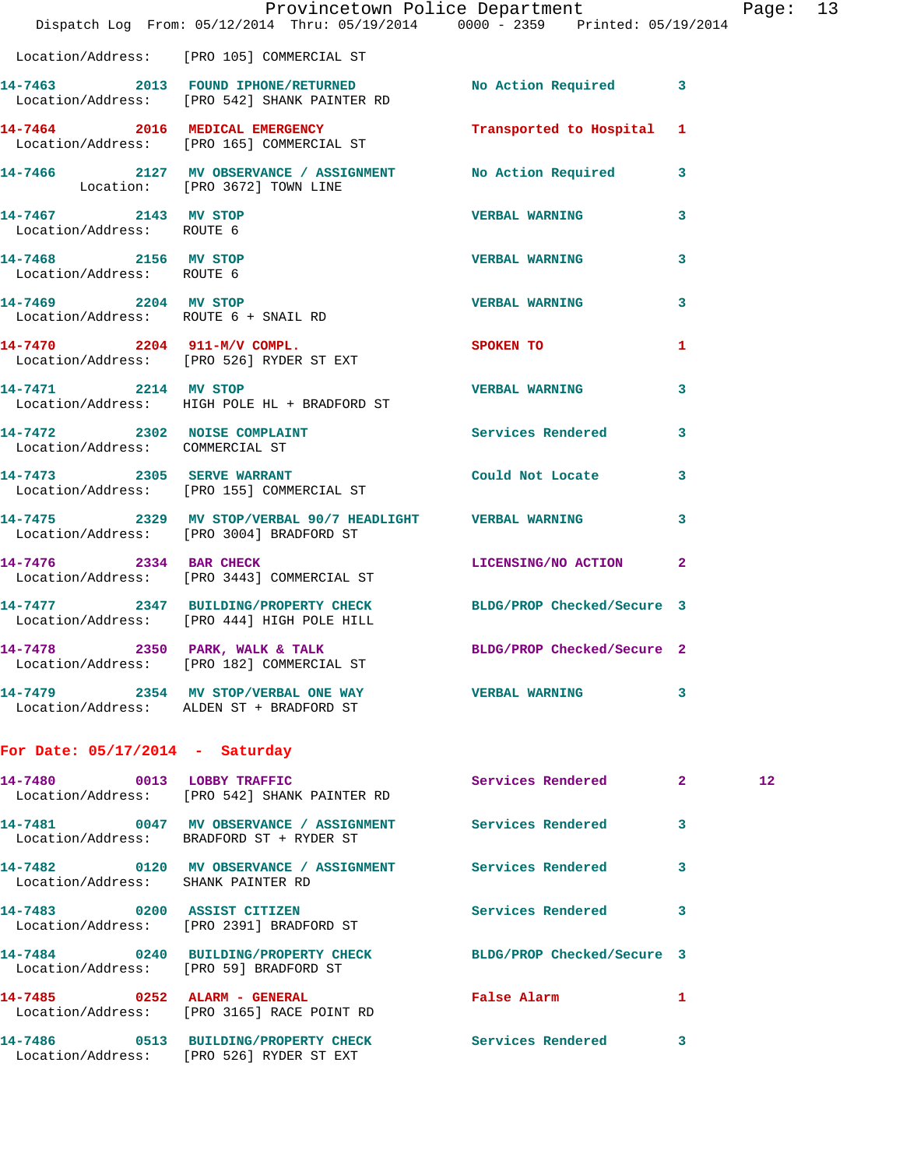|                                                   | Dispatch Log From: 05/12/2014 Thru: 05/19/2014 0000 - 2359 Printed: 05/19/2014                                | Provincetown Police Department |   | Page: 13          |  |
|---------------------------------------------------|---------------------------------------------------------------------------------------------------------------|--------------------------------|---|-------------------|--|
|                                                   | Location/Address: [PRO 105] COMMERCIAL ST                                                                     |                                |   |                   |  |
|                                                   | 14-7463 2013 FOUND IPHONE/RETURNED No Action Required 3<br>Location/Address: [PRO 542] SHANK PAINTER RD       |                                |   |                   |  |
|                                                   | 14-7464 2016 MEDICAL EMERGENCY Transported to Hospital 1<br>Location/Address: [PRO 165] COMMERCIAL ST         |                                |   |                   |  |
|                                                   | 14-7466 2127 MV OBSERVANCE / ASSIGNMENT No Action Required 3<br>Location: [PRO 3672] TOWN LINE                |                                |   |                   |  |
| 14-7467 2143 MV STOP<br>Location/Address: ROUTE 6 |                                                                                                               | <b>VERBAL WARNING</b>          | 3 |                   |  |
| 14-7468 2156 MV STOP<br>Location/Address: ROUTE 6 |                                                                                                               | <b>VERBAL WARNING</b>          | 3 |                   |  |
| 14-7469 2204 MV STOP                              | Location/Address: ROUTE 6 + SNAIL RD                                                                          | <b>VERBAL WARNING</b>          | 3 |                   |  |
|                                                   | 14-7470 2204 911-M/V COMPL. SPOKEN TO<br>Location/Address: [PRO 526] RYDER ST EXT                             |                                | 1 |                   |  |
| 14-7471 2214 MV STOP                              | Location/Address: HIGH POLE HL + BRADFORD ST                                                                  | <b>VERBAL WARNING</b>          | 3 |                   |  |
| Location/Address: COMMERCIAL ST                   | 14-7472 2302 NOISE COMPLAINT Services Rendered                                                                |                                | 3 |                   |  |
|                                                   | 14-7473 2305 SERVE WARRANT Could Not Locate 3<br>Location/Address: [PRO 155] COMMERCIAL ST                    |                                |   |                   |  |
|                                                   | 14-7475 2329 MV STOP/VERBAL 90/7 HEADLIGHT VERBAL WARNING<br>Location/Address: [PRO 3004] BRADFORD ST         |                                | 3 |                   |  |
| 14-7476 2334 BAR CHECK                            | Location/Address: [PRO 3443] COMMERCIAL ST                                                                    | LICENSING/NO ACTION 2          |   |                   |  |
|                                                   | 14-7477 2347 BUILDING/PROPERTY CHECK BLDG/PROP Checked/Secure 3<br>Location/Address: [PRO 444] HIGH POLE HILL |                                |   |                   |  |
|                                                   | 14-7478 2350 PARK, WALK & TALK<br>Location/Address: [PRO 182] COMMERCIAL ST                                   | BLDG/PROP Checked/Secure 2     |   |                   |  |
|                                                   | 14-7479 2354 MV STOP/VERBAL ONE WAY VERBAL WARNING<br>Location/Address: ALDEN ST + BRADFORD ST                |                                | 3 |                   |  |
| For Date: $05/17/2014$ - Saturday                 |                                                                                                               |                                |   |                   |  |
|                                                   | 14-7480 0013 LOBBY TRAFFIC<br>Location/Address: [PRO 542] SHANK PAINTER RD                                    | Services Rendered 2            |   | $12 \overline{ }$ |  |
|                                                   | 14-7481 0047 MV OBSERVANCE / ASSIGNMENT Services Rendered<br>Location/Address: BRADFORD ST + RYDER ST         |                                | 3 |                   |  |
| Location/Address: SHANK PAINTER RD                | 14-7482 0120 MV OBSERVANCE / ASSIGNMENT Services Rendered                                                     |                                | 3 |                   |  |
|                                                   | 14-7483 0200 ASSIST CITIZEN<br>Location/Address: [PRO 2391] BRADFORD ST                                       | <b>Services Rendered</b>       | 3 |                   |  |
| Location/Address: [PRO 59] BRADFORD ST            | 14-7484 0240 BUILDING/PROPERTY CHECK BLDG/PROP Checked/Secure 3                                               |                                |   |                   |  |
|                                                   | 14-7485 0252 ALARM - GENERAL<br>Location/Address: [PRO 3165] RACE POINT RD                                    | False Alarm 1                  |   |                   |  |
|                                                   | 14-7486 0513 BUILDING/PROPERTY CHECK Services Rendered<br>Location/Address: [PRO 526] RYDER ST EXT            |                                | 3 |                   |  |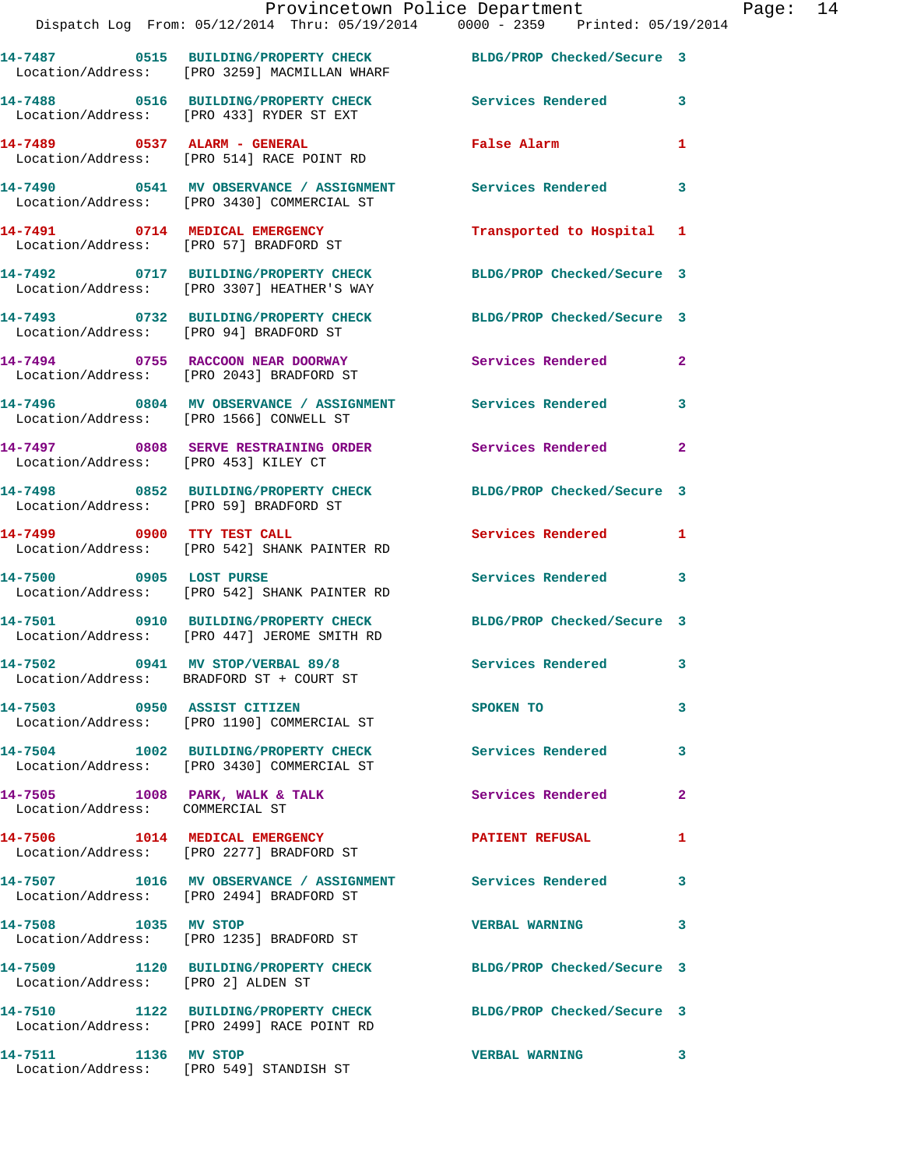|                                        | Provincetown Police Department                                                                                  |                            |                         |
|----------------------------------------|-----------------------------------------------------------------------------------------------------------------|----------------------------|-------------------------|
|                                        | Dispatch Log From: 05/12/2014 Thru: 05/19/2014 0000 - 2359 Printed: 05/19/2014                                  |                            |                         |
|                                        | 14-7487 0515 BUILDING/PROPERTY CHECK BLDG/PROP Checked/Secure 3<br>Location/Address: [PRO 3259] MACMILLAN WHARF |                            |                         |
|                                        | 14-7488 0516 BUILDING/PROPERTY CHECK Services Rendered<br>Location/Address: [PRO 433] RYDER ST EXT              |                            | 3                       |
|                                        | 14-7489 0537 ALARM - GENERAL<br>Location/Address: [PRO 514] RACE POINT RD                                       | <b>False Alarm</b>         | 1                       |
|                                        | 14-7490 0541 MV OBSERVANCE / ASSIGNMENT Services Rendered<br>Location/Address: [PRO 3430] COMMERCIAL ST         |                            | 3                       |
|                                        | 14-7491 0714 MEDICAL EMERGENCY<br>Location/Address: [PRO 57] BRADFORD ST                                        | Transported to Hospital 1  |                         |
|                                        | 14-7492 0717 BUILDING/PROPERTY CHECK BLDG/PROP Checked/Secure 3<br>Location/Address: [PRO 3307] HEATHER'S WAY   |                            |                         |
| Location/Address: [PRO 94] BRADFORD ST | 14-7493 0732 BUILDING/PROPERTY CHECK                                                                            | BLDG/PROP Checked/Secure 3 |                         |
|                                        | 14-7494 0755 RACCOON NEAR DOORWAY<br>Location/Address: [PRO 2043] BRADFORD ST                                   | <b>Services Rendered</b>   | $\mathbf{2}$            |
|                                        | 14-7496 6804 MV OBSERVANCE / ASSIGNMENT Services Rendered<br>Location/Address: [PRO 1566] CONWELL ST            |                            | 3                       |
| Location/Address: [PRO 453] KILEY CT   | 14-7497 6808 SERVE RESTRAINING ORDER Services Rendered                                                          |                            | $\mathbf{2}$            |
| Location/Address: [PRO 59] BRADFORD ST | 14-7498 0852 BUILDING/PROPERTY CHECK BLDG/PROP Checked/Secure 3                                                 |                            |                         |
|                                        | 14-7499 0900 TTY TEST CALL<br>Location/Address: [PRO 542] SHANK PAINTER RD                                      | <b>Services Rendered</b>   | 1                       |
| 14-7500 0905 LOST PURSE                | Location/Address: [PRO 542] SHANK PAINTER RD                                                                    | Services Rendered          | 3                       |
|                                        | 14-7501 0910 BUILDING/PROPERTY CHECK BLDG/PROP Checked/Secure 3<br>Location/Address: [PRO 447] JEROME SMITH RD  |                            |                         |
|                                        | 14-7502 0941 MV STOP/VERBAL 89/8<br>Location/Address: BRADFORD ST + COURT ST                                    | <b>Services Rendered</b>   | $\overline{\mathbf{3}}$ |
| 14-7503 0950 ASSIST CITIZEN            | Location/Address: [PRO 1190] COMMERCIAL ST                                                                      | SPOKEN TO                  | 3                       |
|                                        | 14-7504 1002 BUILDING/PROPERTY CHECK<br>Location/Address: [PRO 3430] COMMERCIAL ST                              | Services Rendered          | 3                       |
| Location/Address: COMMERCIAL ST        | 14-7505 1008 PARK, WALK & TALK                                                                                  | <b>Services Rendered</b>   | 2                       |
|                                        | 14-7506 1014 MEDICAL EMERGENCY<br>Location/Address: [PRO 2277] BRADFORD ST                                      | <b>PATIENT REFUSAL</b>     | 1                       |
|                                        | 14-7507 1016 MV OBSERVANCE / ASSIGNMENT Services Rendered<br>Location/Address: [PRO 2494] BRADFORD ST           |                            | 3                       |
| 14-7508 1035 MV STOP                   | Location/Address: [PRO 1235] BRADFORD ST                                                                        | <b>VERBAL WARNING</b>      | 3                       |
| Location/Address: [PRO 2] ALDEN ST     | 14-7509 1120 BUILDING/PROPERTY CHECK BLDG/PROP Checked/Secure 3                                                 |                            |                         |
|                                        | 14-7510 1122 BUILDING/PROPERTY CHECK BLDG/PROP Checked/Secure 3<br>Location/Address: [PRO 2499] RACE POINT RD   |                            |                         |
| 14-7511 1136 MV STOP                   |                                                                                                                 | <b>VERBAL WARNING</b>      | 3                       |

Location/Address: [PRO 549] STANDISH ST

Page:  $14$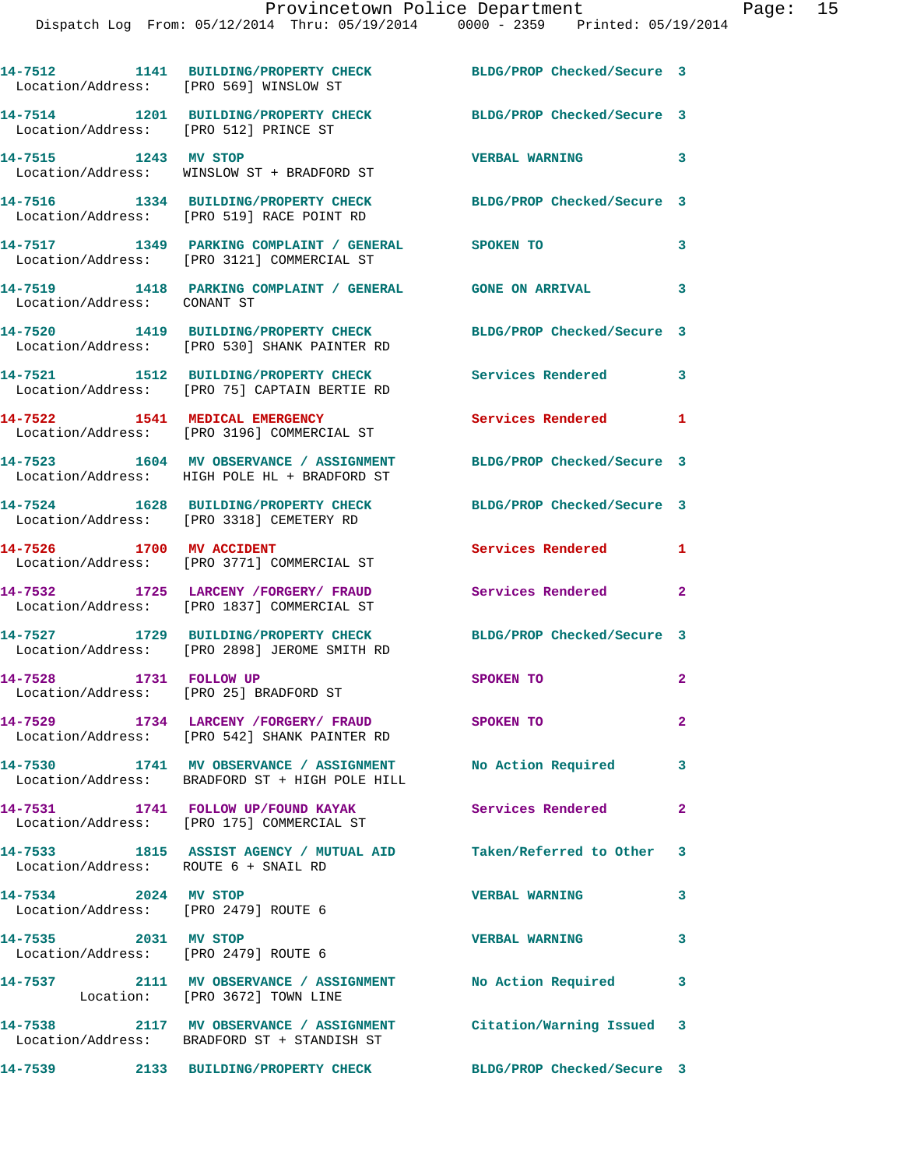| Location/Address: [PRO 569] WINSLOW ST                           | 14-7512 1141 BUILDING/PROPERTY CHECK BLDG/PROP Checked/Secure 3                                                  |                            |                            |
|------------------------------------------------------------------|------------------------------------------------------------------------------------------------------------------|----------------------------|----------------------------|
| Location/Address: [PRO 512] PRINCE ST                            | 14-7514 1201 BUILDING/PROPERTY CHECK                                                                             | BLDG/PROP Checked/Secure 3 |                            |
| 14-7515 1243 MV STOP                                             | Location/Address: WINSLOW ST + BRADFORD ST                                                                       | <b>VERBAL WARNING</b>      | $\overline{\mathbf{3}}$    |
|                                                                  | 14-7516 1334 BUILDING/PROPERTY CHECK<br>Location/Address: [PRO 519] RACE POINT RD                                | BLDG/PROP Checked/Secure 3 |                            |
|                                                                  | 14-7517 1349 PARKING COMPLAINT / GENERAL SPOKEN TO<br>Location/Address: [PRO 3121] COMMERCIAL ST                 |                            | 3                          |
| Location/Address: CONANT ST                                      | 14-7519 1418 PARKING COMPLAINT / GENERAL GONE ON ARRIVAL 3                                                       |                            |                            |
|                                                                  | 14-7520 1419 BUILDING/PROPERTY CHECK<br>Location/Address: [PRO 530] SHANK PAINTER RD                             | BLDG/PROP Checked/Secure 3 |                            |
|                                                                  | 14-7521 1512 BUILDING/PROPERTY CHECK Services Rendered 3<br>Location/Address: [PRO 75] CAPTAIN BERTIE RD         |                            |                            |
|                                                                  | 14-7522 1541 MEDICAL EMERGENCY<br>Location/Address: [PRO 3196] COMMERCIAL ST                                     | Services Rendered 1        |                            |
|                                                                  | 14-7523 1604 MV OBSERVANCE / ASSIGNMENT<br>Location/Address: HIGH POLE HL + BRADFORD ST                          | BLDG/PROP Checked/Secure 3 |                            |
|                                                                  | 14-7524 1628 BUILDING/PROPERTY CHECK<br>Location/Address: [PRO 3318] CEMETERY RD                                 | BLDG/PROP Checked/Secure 3 |                            |
| 14-7526 1700 MV ACCIDENT                                         | Location/Address: [PRO 3771] COMMERCIAL ST                                                                       | Services Rendered          | 1                          |
|                                                                  | 14-7532 1725 LARCENY /FORGERY/ FRAUD<br>Location/Address: [PRO 1837] COMMERCIAL ST                               | Services Rendered          | $\overline{\phantom{0}}$ 2 |
|                                                                  | 14-7527 1729 BUILDING/PROPERTY CHECK<br>Location/Address: [PRO 2898] JEROME SMITH RD                             | BLDG/PROP Checked/Secure 3 |                            |
| 14-7528 1731 FOLLOW UP<br>Location/Address: [PRO 25] BRADFORD ST |                                                                                                                  | SPOKEN TO                  | $\mathbf{2}$               |
|                                                                  | 14-7529 1734 LARCENY /FORGERY/ FRAUD SPOKEN TO<br>Location/Address: [PRO 542] SHANK PAINTER RD                   |                            | $\mathbf{2}$               |
|                                                                  | 14-7530 1741 MV OBSERVANCE / ASSIGNMENT No Action Required 3<br>Location/Address: BRADFORD ST + HIGH POLE HILL   |                            |                            |
|                                                                  | 14-7531 1741 FOLLOW UP/FOUND KAYAK Services Rendered 2<br>Location/Address: [PRO 175] COMMERCIAL ST              |                            |                            |
| Location/Address: ROUTE 6 + SNAIL RD                             | 14-7533 1815 ASSIST AGENCY / MUTUAL AID Taken/Referred to Other 3                                                |                            |                            |
| 14-7534 2024 MV STOP<br>Location/Address: [PRO 2479] ROUTE 6     |                                                                                                                  | <b>VERBAL WARNING</b>      | $\overline{\mathbf{3}}$    |
| 14-7535 2031 MV STOP<br>Location/Address: [PRO 2479] ROUTE 6     |                                                                                                                  | <b>VERBAL WARNING</b>      | $\mathbf{3}$               |
|                                                                  | 14-7537 2111 MV OBSERVANCE / ASSIGNMENT No Action Required 3<br>Location: [PRO 3672] TOWN LINE                   |                            |                            |
|                                                                  | 14-7538 2117 MV OBSERVANCE / ASSIGNMENT Citation/Warning Issued 3<br>Location/Address: BRADFORD ST + STANDISH ST |                            |                            |
|                                                                  | 14-7539 2133 BUILDING/PROPERTY CHECK                                                                             | BLDG/PROP Checked/Secure 3 |                            |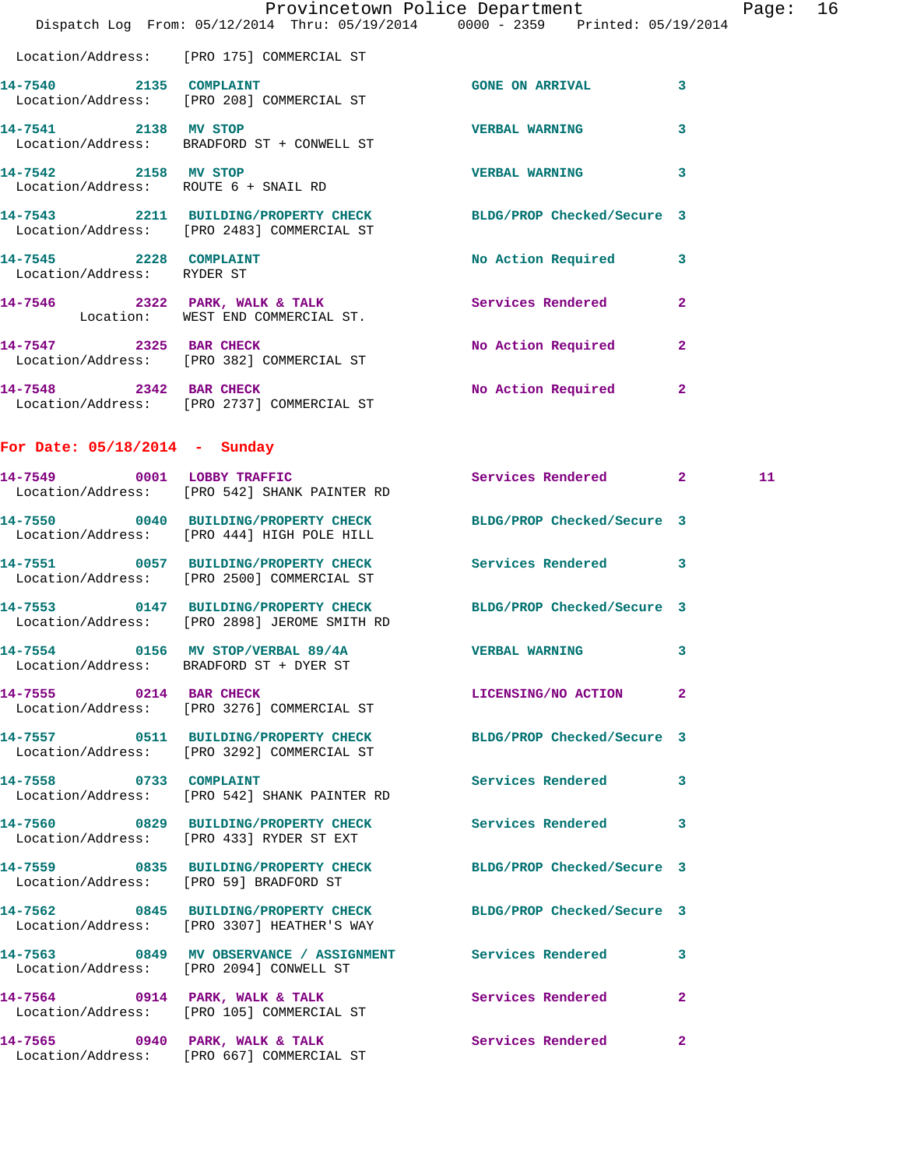|                                 | Dispatch Log From: 05/12/2014 Thru: 05/19/2014 0000 - 2359 Printed: 05/19/2014                                  | Provincetown Police Department |              | Page: 16 |  |
|---------------------------------|-----------------------------------------------------------------------------------------------------------------|--------------------------------|--------------|----------|--|
|                                 | Location/Address: [PRO 175] COMMERCIAL ST                                                                       |                                |              |          |  |
|                                 | 14-7540 2135 COMPLAINT<br>Location/Address: [PRO 208] COMMERCIAL ST                                             | GONE ON ARRIVAL 3              |              |          |  |
| 14-7541 2138 MV STOP            | Location/Address: BRADFORD ST + CONWELL ST                                                                      | <b>VERBAL WARNING</b>          | $\mathbf{3}$ |          |  |
| 14-7542 2158 MV STOP            | Location/Address: ROUTE 6 + SNAIL RD                                                                            | VERBAL WARNING 3               |              |          |  |
|                                 | 14-7543 2211 BUILDING/PROPERTY CHECK BLDG/PROP Checked/Secure 3<br>Location/Address: [PRO 2483] COMMERCIAL ST   |                                |              |          |  |
| Location/Address: RYDER ST      | 14-7545 2228 COMPLAINT                                                                                          | No Action Required 3           |              |          |  |
|                                 | 14-7546 2322 PARK, WALK & TALK 3 Services Rendered 2<br>Location: WEST END COMMERCIAL ST.                       |                                |              |          |  |
|                                 | 14-7547 2325 BAR CHECK<br>Location/Address: [PRO 382] COMMERCIAL ST                                             | No Action Required 2           |              |          |  |
|                                 | 14-7548 2342 BAR CHECK<br>Location/Address: [PRO 2737] COMMERCIAL ST                                            | No Action Required 2           |              |          |  |
| For Date: $05/18/2014$ - Sunday |                                                                                                                 |                                |              |          |  |
|                                 | 14-7549 0001 LOBBY TRAFFIC<br>Location/Address: [PRO 542] SHANK PAINTER RD                                      | Services Rendered 2            |              | 11       |  |
|                                 | 14-7550 0040 BUILDING/PROPERTY CHECK BLDG/PROP Checked/Secure 3<br>Location/Address: [PRO 444] HIGH POLE HILL   |                                |              |          |  |
|                                 | 14-7551 0057 BUILDING/PROPERTY CHECK Services Rendered 3<br>Location/Address: [PRO 2500] COMMERCIAL ST          |                                |              |          |  |
|                                 | 14-7553 0147 BUILDING/PROPERTY CHECK BLDG/PROP Checked/Secure 3<br>Location/Address: [PRO 2898] JEROME SMITH RD |                                |              |          |  |
|                                 | 14-7554 0156 MV STOP/VERBAL 89/4A VERBAL WARNING<br>Location/Address: BRADFORD ST + DYER ST                     |                                | 3            |          |  |
| 14-7555 0214 BAR CHECK          | Location/Address: [PRO 3276] COMMERCIAL ST                                                                      | LICENSING/NO ACTION 2          |              |          |  |
|                                 | 14-7557 0511 BUILDING/PROPERTY CHECK BLDG/PROP Checked/Secure 3<br>Location/Address: [PRO 3292] COMMERCIAL ST   |                                |              |          |  |
|                                 | 14-7558 0733 COMPLAINT<br>Location/Address: [PRO 542] SHANK PAINTER RD                                          | Services Rendered 3            |              |          |  |
|                                 | 14-7560 0829 BUILDING/PROPERTY CHECK Services Rendered 3<br>Location/Address: [PRO 433] RYDER ST EXT            |                                |              |          |  |
|                                 | 14-7559 0835 BUILDING/PROPERTY CHECK BLDG/PROP Checked/Secure 3<br>Location/Address: [PRO 59] BRADFORD ST       |                                |              |          |  |
|                                 | 14-7562 0845 BUILDING/PROPERTY CHECK BLDG/PROP Checked/Secure 3<br>Location/Address: [PRO 3307] HEATHER'S WAY   |                                |              |          |  |
|                                 | 14-7563 0849 MV OBSERVANCE / ASSIGNMENT Services Rendered 3<br>Location/Address: [PRO 2094] CONWELL ST          |                                |              |          |  |
|                                 | 14-7564 0914 PARK, WALK & TALK 6 Services Rendered 2<br>Location/Address: [PRO 105] COMMERCIAL ST               |                                |              |          |  |
|                                 | 14-7565 0940 PARK, WALK & TALK 3 Services Rendered 2<br>Location/Address: [PRO 667] COMMERCIAL ST               |                                |              |          |  |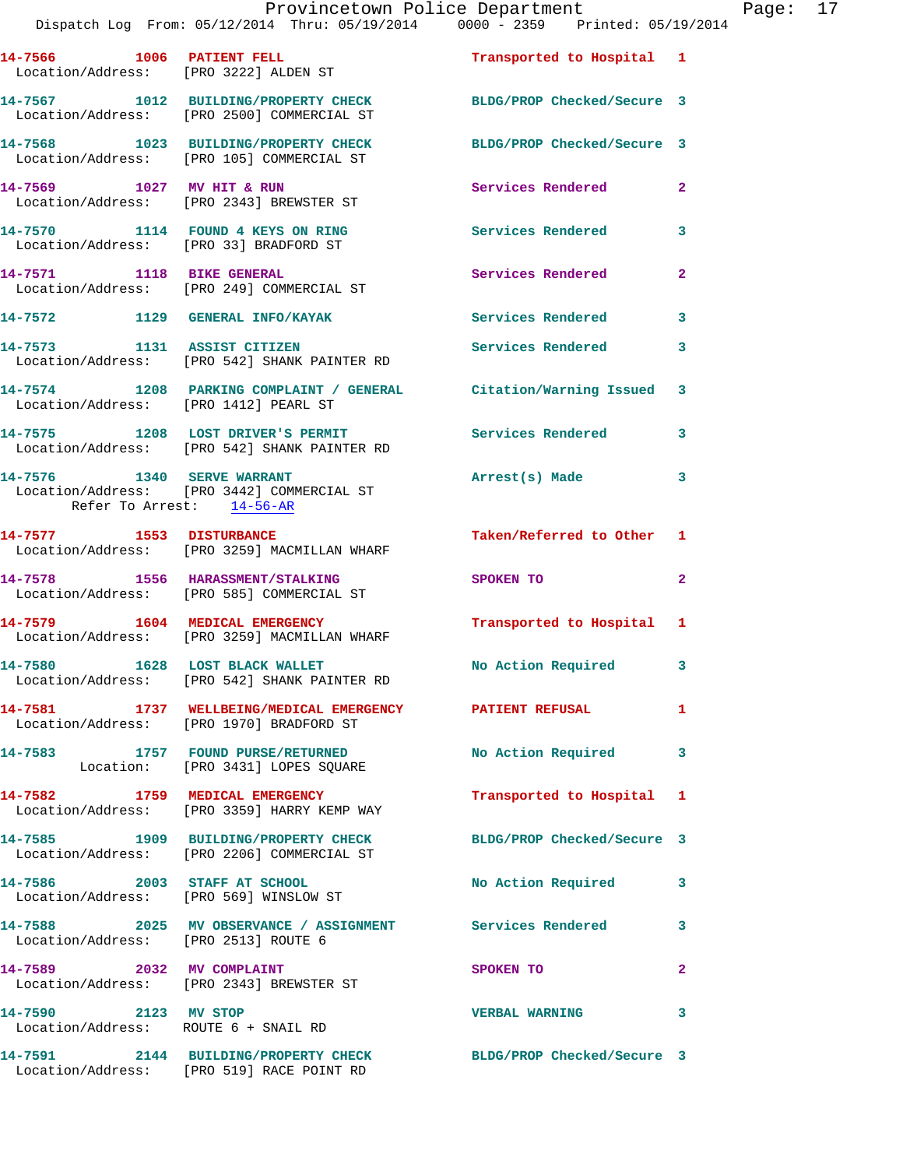| 14-7566 1006 PATIENT FELL<br>Location/Address: [PRO 3222] ALDEN ST |                                                                                                               | Transported to Hospital 1  |                |
|--------------------------------------------------------------------|---------------------------------------------------------------------------------------------------------------|----------------------------|----------------|
|                                                                    | 14-7567 1012 BUILDING/PROPERTY CHECK<br>Location/Address: [PRO 2500] COMMERCIAL ST                            | BLDG/PROP Checked/Secure 3 |                |
|                                                                    | 14-7568 1023 BUILDING/PROPERTY CHECK<br>Location/Address: [PRO 105] COMMERCIAL ST                             | BLDG/PROP Checked/Secure 3 |                |
| 14-7569 1027 MV HIT & RUN                                          | Location/Address: [PRO 2343] BREWSTER ST                                                                      | Services Rendered          | $\overline{2}$ |
| Location/Address: [PRO 33] BRADFORD ST                             | 14-7570 1114 FOUND 4 KEYS ON RING                                                                             | <b>Services Rendered</b>   | 3              |
| 14-7571 1118 BIKE GENERAL                                          | Location/Address: [PRO 249] COMMERCIAL ST                                                                     | Services Rendered          | $\mathbf{2}$   |
|                                                                    | 14-7572 1129 GENERAL INFO/KAYAK                                                                               | <b>Services Rendered</b>   | 3              |
| 14-7573 1131 ASSIST CITIZEN                                        | Location/Address: [PRO 542] SHANK PAINTER RD                                                                  | Services Rendered          | 3              |
| Location/Address: [PRO 1412] PEARL ST                              | 14-7574 1208 PARKING COMPLAINT / GENERAL Citation/Warning Issued 3                                            |                            |                |
|                                                                    | 14-7575 1208 LOST DRIVER'S PERMIT<br>Location/Address: [PRO 542] SHANK PAINTER RD                             | <b>Services Rendered</b>   | 3              |
| Refer To Arrest: 14-56-AR                                          | 14-7576 1340 SERVE WARRANT<br>Location/Address: [PRO 3442] COMMERCIAL ST                                      | Arrest(s) Made             | 3              |
| 14-7577 1553 DISTURBANCE                                           | Location/Address: [PRO 3259] MACMILLAN WHARF                                                                  | Taken/Referred to Other 1  |                |
|                                                                    | 14-7578 1556 HARASSMENT/STALKING<br>Location/Address: [PRO 585] COMMERCIAL ST                                 | SPOKEN TO                  | $\overline{a}$ |
| 14-7579 1604 MEDICAL EMERGENCY                                     | Location/Address: [PRO 3259] MACMILLAN WHARF                                                                  | Transported to Hospital 1  |                |
|                                                                    | 14-7580 1628 LOST BLACK WALLET<br>Location/Address: [PRO 542] SHANK PAINTER RD                                | No Action Required 3       |                |
|                                                                    | 14-7581 1737 WELLBEING/MEDICAL EMERGENCY PATIENT REFUSAL<br>Location/Address: [PRO 1970] BRADFORD ST          |                            | $\mathbf{1}$   |
|                                                                    | 14-7583 1757 FOUND PURSE/RETURNED<br>Location: [PRO 3431] LOPES SQUARE                                        | No Action Required 3       |                |
|                                                                    | 14-7582 1759 MEDICAL EMERGENCY<br>Location/Address: [PRO 3359] HARRY KEMP WAY                                 | Transported to Hospital 1  |                |
|                                                                    | 14-7585 1909 BUILDING/PROPERTY CHECK BLDG/PROP Checked/Secure 3<br>Location/Address: [PRO 2206] COMMERCIAL ST |                            |                |
| $14-7586$ 2003 STAFF AT SCHOOL                                     | Location/Address: [PRO 569] WINSLOW ST                                                                        | No Action Required         | 3              |
|                                                                    |                                                                                                               |                            | 3              |
| 14-7589 2032 MV COMPLAINT                                          | Location/Address: [PRO 2343] BREWSTER ST                                                                      | SPOKEN TO                  | $\mathbf{2}$   |
| 14-7590 2123 MV STOP<br>Location/Address: ROUTE 6 + SNAIL RD       |                                                                                                               | <b>VERBAL WARNING</b>      | 3              |
|                                                                    | 14-7591 2144 BUILDING/PROPERTY CHECK<br>Location/Address: [PRO 519] RACE POINT RD                             | BLDG/PROP Checked/Secure 3 |                |